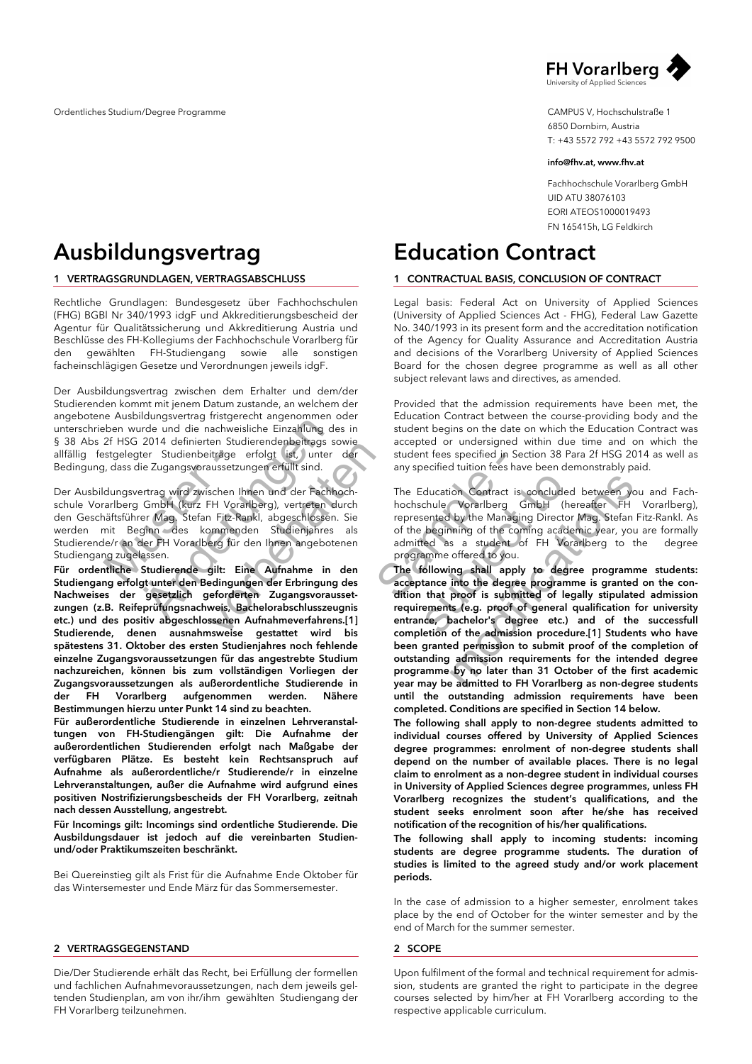

CAMPUS V, Hochschulstraße 1 6850 Dornbirn, Austria T: +43 5572 792 +43 5572 792 9500

#### *info@fhv.at, www.fhv.at*

Fachhochschule Vorarlberg GmbH UID ATU 38076103 EORI ATEOS1000019493 FN 165415h, LG Feldkirch

# *Education Contract*

### *1 CONTRACTUAL BASIS, CONCLUSION OF CONTRACT*

Legal basis: Federal Act on University of Applied Sciences (University of Applied Sciences Act - FHG), Federal Law Gazette No. 340/1993 in its present form and the accreditation notification of the Agency for Quality Assurance and Accreditation Austria and decisions of the Vorarlberg University of Applied Sciences Board for the chosen degree programme as well as all other subject relevant laws and directives, as amended.

Provided that the admission requirements have been met, the Education Contract between the course-providing body and the student begins on the date on which the Education Contract was accepted or undersigned within due time and on which the student fees specified in Section 38 Para 2f HSG 2014 as well as any specified tuition fees have been demonstrably paid.

The Education Contract is concluded between you and Fachhochschule Vorarlberg GmbH (hereafter FH Vorarlberg), represented by the Managing Director Mag. Stefan Fitz-Rankl. As of the beginning of the coming academic year, you are formally admitted as a student of FH Vorarlberg to the degree programme offered to you.

(a) the student tees specified in Section<br>
1. Sunter der student tees specified in Section<br>
1. Sunter technoch<br>
the Education Contract is<br>
sechlossen. Sie represented by the Managin<br>
ienjahres als of the beginning of the c The Education Contract is concluded<br>
ultrich<br>
In Sie<br>
represented by the Managing Director<br>
als<br>
of the beginning of the coming academ<br>
enen<br>
admitted as a student of FH Vora<br>
programme offered to you.<br> **den**<br> **The followi** Education Contract is concluded between you<br>schule Vorarlberg GmbH (hereafter FH V<br>sented by the Managing Director Mag. Stefan Fit<br>e beginning of the coming academic year, you a<br>tted as a student of FH Vorarlberg to the<br>fa *The following shall apply to degree programme students: acceptance into the degree programme is granted on the condition that proof is submitted of legally stipulated admission requirements (e.g. proof of general qualification for university entrance, bachelor's degree etc.) and of the successfull completion of the admission procedure.[1] Students who have been granted permission to submit proof of the completion of outstanding admission requirements for the intended degree programme by no later than 31 October of the first academic year may be admitted to FH Vorarlberg as non-degree students until the outstanding admission requirements have been completed. Conditions are specified in Section 14 below.* 

*The following shall apply to non-degree students admitted to individual courses offered by University of Applied Sciences degree programmes: enrolment of non-degree students shall depend on the number of available places. There is no legal claim to enrolment as a non-degree student in individual courses in University of Applied Sciences degree programmes, unless FH Vorarlberg recognizes the student's qualifications, and the student seeks enrolment soon after he/she has received notification of the recognition of his/her qualifications.*

*The following shall apply to incoming students: incoming students are degree programme students. The duration of studies is limited to the agreed study and/or work placement periods.*

In the case of admission to a higher semester, enrolment takes place by the end of October for the winter semester and by the end of March for the summer semester.

#### *2 SCOPE*

Upon fulfilment of the formal and technical requirement for admission, students are granted the right to participate in the degree courses selected by him/her at FH Vorarlberg according to the respective applicable curriculum.

## *Ausbildungsvertrag*

### *1 VERTRAGSGRUNDLAGEN, VERTRAGSABSCHLUSS*

Rechtliche Grundlagen: Bundesgesetz über Fachhochschulen (FHG) BGBl Nr 340/1993 idgF und Akkreditierungsbescheid der Agentur für Qualitätssicherung und Akkreditierung Austria und Beschlüsse des FH-Kollegiums der Fachhochschule Vorarlberg für den gewählten FH-Studiengang sowie alle sonstigen facheinschlägigen Gesetze und Verordnungen jeweils idgF.

Der Ausbildungsvertrag zwischen dem Erhalter und dem/der Studierenden kommt mit jenem Datum zustande, an welchem der angebotene Ausbildungsvertrag fristgerecht angenommen oder unterschrieben wurde und die nachweisliche Einzahlung des in § 38 Abs 2f HSG 2014 definierten Studierendenbeitrags sowie allfällig festgelegter Studienbeiträge erfolgt ist, unter der Bedingung, dass die Zugangsvoraussetzungen erfüllt sind.

stgelegter Studienbeiträge<br>
1, dass die Zugangsvoraussetzu<br>
dungsvertrag wird zwischen Ih<br>
rarlberg GmbH (kurz FH Vora<br>
aäftsführer Mag, Stefan Fitz-Ra<br>
mit Beginn des Kommenc<br>
le/r an der FH Vorarlberg für<br>
ng zugelassen. ander und die nachweisliche Einzahlung der aufde und die nachweisliche Einzahlung der 2014 definierten Studierendenbeittags scherer Studienbeittäge erfolgt ist, unter lie Zugangsvoraussetzungen erfüllt sind.<br>
ertrag wird z Der Ausbildungsvertrag wird zwischen Ihnen und der Fachhochschule Vorarlberg GmbH (kurz FH Vorarlberg), vertreten durch den Geschäftsführer Mag. Stefan Fitz-Rankl, abgeschlossen. Sie werden mit Beginn des kommenden Studienjahres als Studierende/r an der FH Vorarlberg für den Ihnen angebotenen Studiengang zugelassen.

eri suureendenbehags sowie<br>iträge erfolgt (ist, unter der<br>sussetzungen erfüllt sind.<br>schen Ihnen und der Fachhoch-<br>Fitz-Rankl, abgeschlossen. Sie<br>pommenden Studienjahres als<br>seg für den Ihnen angebotenen<br>gilt: Eine Aufnahm *Für ordentliche Studierende gilt: Eine Aufnahme in den Studiengang erfolgt unter den Bedingungen der Erbringung des Nachweises der gesetzlich geforderten Zugangsvoraussetzungen (z.B. Reifeprüfungsnachweis, Bachelorabschlusszeugnis etc.) und des positiv abgeschlossenen Aufnahmeverfahrens.[1] Studierende, denen ausnahmsweise gestattet wird bis spätestens 31. Oktober des ersten Studienjahres noch fehlende einzelne Zugangsvoraussetzungen für das angestrebte Studium nachzureichen, können bis zum vollständigen Vorliegen der Zugangsvoraussetzungen als außerordentliche Studierende in der FH Vorarlberg aufgenommen werden. Nähere Bestimmungen hierzu unter Punkt 14 sind zu beachten.* 

*Für außerordentliche Studierende in einzelnen Lehrveranstaltungen von FH-Studiengängen gilt: Die Aufnahme der außerordentlichen Studierenden erfolgt nach Maßgabe der verfügbaren Plätze. Es besteht kein Rechtsanspruch auf Aufnahme als außerordentliche/r Studierende/r in einzelne Lehrveranstaltungen, außer die Aufnahme wird aufgrund eines positiven Nostrifizierungsbescheids der FH Vorarlberg, zeitnah nach dessen Ausstellung, angestrebt.*

*Für Incomings gilt: Incomings sind ordentliche Studierende. Die Ausbildungsdauer ist jedoch auf die vereinbarten Studienund/oder Praktikumszeiten beschränkt.*

Bei Quereinstieg gilt als Frist für die Aufnahme Ende Oktober für das Wintersemester und Ende März für das Sommersemester.

#### *2 VERTRAGSGEGENSTAND*

Die/Der Studierende erhält das Recht, bei Erfüllung der formellen und fachlichen Aufnahmevoraussetzungen, nach dem jeweils geltenden Studienplan, am von ihr/ihm gewählten Studiengang der FH Vorarlberg teilzunehmen.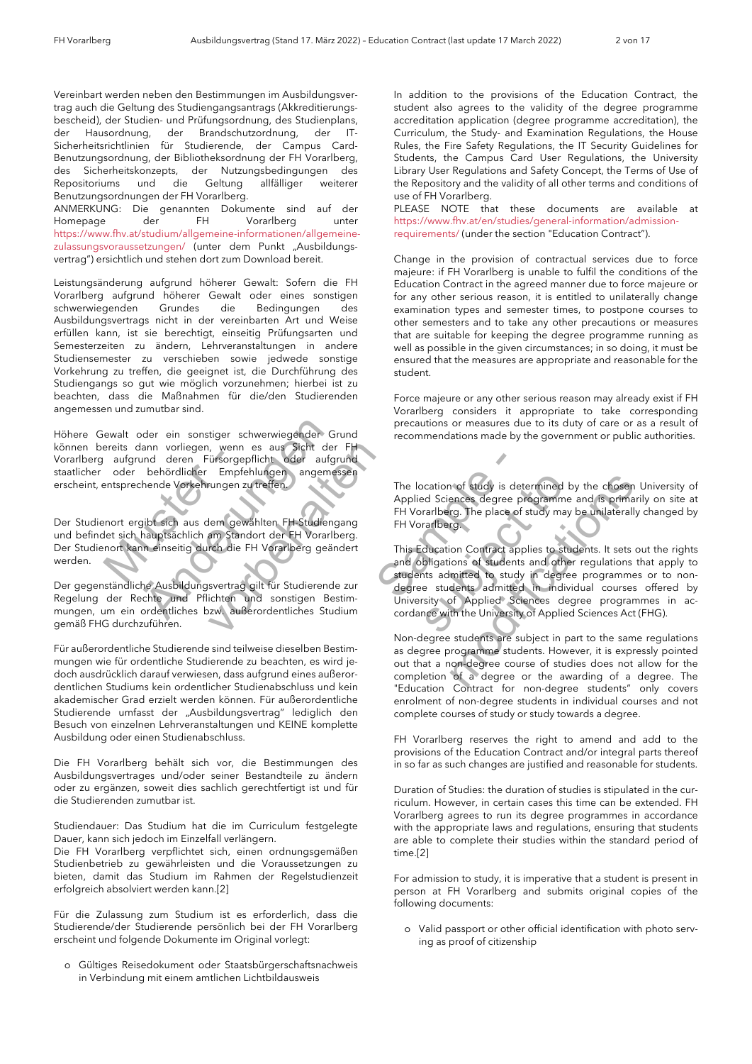Vereinbart werden neben den Bestimmungen im Ausbildungsvertrag auch die Geltung des Studiengangsantrags (Akkreditierungsbescheid), der Studien- und Prüfungsordnung, des Studienplans, der Hausordnung, der Brandschutzordnung, der IT-Sicherheitsrichtlinien für Studierende, der Campus Card-Benutzungsordnung, der Bibliotheksordnung der FH Vorarlberg, des Sicherheitskonzepts, der Nutzungsbedingungen des Repositoriums und die Geltung allfälliger weiterer Benutzungsordnungen der FH Vorarlberg.

ANMERKUNG: Die genannten Dokumente sind auf der Homepage der FH Vorarlberg unter https://www.fhv.at/studium/allgemeine-informationen/allgemeinezulassungsvoraussetzungen/ (unter dem Punkt "Ausbildungsvertrag") ersichtlich und stehen dort zum Download bereit.

Leistungsänderung aufgrund höherer Gewalt: Sofern die FH Vorarlberg aufgrund höherer Gewalt oder eines sonstigen schwerwiegenden Grundes die Bedingungen des Ausbildungsvertrags nicht in der vereinbarten Art und Weise erfüllen kann, ist sie berechtigt, einseitig Prüfungsarten und Semesterzeiten zu ändern, Lehrveranstaltungen in andere Studiensemester zu verschieben sowie jedwede sonstige Vorkehrung zu treffen, die geeignet ist, die Durchführung des Studiengangs so gut wie möglich vorzunehmen; hierbei ist zu beachten, dass die Maßnahmen für die/den Studierenden angemessen und zumutbar sind.

oder ein sonstiger schwerwiegender G<br>
Jann vorliegen, wenn es aus Sicht der<br>
und deren Fürsorgepflicht oder aufg<br>
behördlicher Empfehlungen angeme<br>
chende Vorkehrungen zu treffen.<br>
Sicht sich aus dem gewählten FH-Studien<br> Höhere Gewalt oder ein sonstiger schwerwiegender Grund Vorarlberg aufgrund deren Fürsorgepflicht oder aufgrund staatlicher oder behördlicher Empfehlungen angemessen erscheint, entsprechende Vorkehrungen zu treffen.

aufgrund deren Fürsorge oder behördlicher Empfe<br>antgrund deren Fürsorge<br>entsprechende Vorkehrungen z<br>nnort ergibt sich aus dem gevelet sich hauptsächlich am Stan<br>nort kann einseitig durch die können bereits dann vorliegen, wenn es aus Sicht der FH<br>Vorarlberg aufgrund deren Fürsorgepflicht oder aufgrund<br>staatlicher oder behördlicher Empfehlungen angemessen<br>erscheint, entsprechende Vorkehrungen zu treffen.<br>Der St Der Studienort ergibt sich aus dem gewählten FH-Studiengang und befindet sich hauptsächlich am Standort der FH Vorarlberg. Der Studienort kann einseitig durch die FH Vorarlberg geändert werden.

Der gegenständliche Ausbildungsvertrag gilt für Studierende zur Regelung der Rechte und Pflichten und sonstigen Bestimmungen, um ein ordentliches bzw. außerordentliches Studium gemäß FHG durchzuführen.

Für außerordentliche Studierende sind teilweise dieselben Bestimmungen wie für ordentliche Studierende zu beachten, es wird jedoch ausdrücklich darauf verwiesen, dass aufgrund eines außerordentlichen Studiums kein ordentlicher Studienabschluss und kein akademischer Grad erzielt werden können. Für außerordentliche Studierende umfasst der "Ausbildungsvertrag" lediglich den Besuch von einzelnen Lehrveranstaltungen und KEINE komplette Ausbildung oder einen Studienabschluss.

Die FH Vorarlberg behält sich vor, die Bestimmungen des Ausbildungsvertrages und/oder seiner Bestandteile zu ändern oder zu ergänzen, soweit dies sachlich gerechtfertigt ist und für die Studierenden zumutbar ist.

Studiendauer: Das Studium hat die im Curriculum festgelegte Dauer, kann sich jedoch im Einzelfall verlängern.

Die FH Vorarlberg verpflichtet sich, einen ordnungsgemäßen Studienbetrieb zu gewährleisten und die Voraussetzungen zu bieten, damit das Studium im Rahmen der Regelstudienzeit erfolgreich absolviert werden kann.[2]

Für die Zulassung zum Studium ist es erforderlich, dass die Studierende/der Studierende persönlich bei der FH Vorarlberg erscheint und folgende Dokumente im Original vorlegt:

o Gültiges Reisedokument oder Staatsbürgerschaftsnachweis in Verbindung mit einem amtlichen Lichtbildausweis

In addition to the provisions of the Education Contract, the student also agrees to the validity of the degree programme accreditation application (degree programme accreditation), the Curriculum, the Study- and Examination Regulations, the House Rules, the Fire Safety Regulations, the IT Security Guidelines for Students, the Campus Card User Regulations, the University Library User Regulations and Safety Concept, the Terms of Use of the Repository and the validity of all other terms and conditions of use of FH Vorarlberg.

PLEASE NOTE that these documents are available at https://www.fhv.at/en/studies/general-information/admissionrequirements/ (under the section "Education Contract").

Change in the provision of contractual services due to force majeure: if FH Vorarlberg is unable to fulfil the conditions of the Education Contract in the agreed manner due to force majeure or for any other serious reason, it is entitled to unilaterally change examination types and semester times, to postpone courses to other semesters and to take any other precautions or measures that are suitable for keeping the degree programme running as well as possible in the given circumstances; in so doing, it must be ensured that the measures are appropriate and reasonable for the student.

Force majeure or any other serious reason may already exist if FH Vorarlberg considers it appropriate to take corresponding precautions or measures due to its duty of care or as a result of recommendations made by the government or public authorities.

The location of study is determined by the chosen University of Applied Sciences degree programme and is primarily on site at FH Vorarlberg. The place of study may be unilaterally changed by FH Vorarlberg.

This Education Contract applies to students. It sets out the rights and obligations of students and other regulations that apply to students admitted to study in degree programmes or to nondegree students admitted in individual courses offered by University of Applied Sciences degree programmes in accordance with the University of Applied Sciences Act (FHG).

For any other and obligation of study is determined and proportional term of studients.<br>
Studiengang FH Vorarlberg. The place of the Studiengang FH Vorarlberg.<br>
The location Contract app and obligations of students admitte is location of study is determined by the chosen Uplied Sciences degree programme and is primaril<br>Vorarlberg. The place of study may be unilaterally<br>Vorarlberg.<br>Substants of students and other regulations then abutions of Non-degree students are subject in part to the same regulations as degree programme students. However, it is expressly pointed out that a non-degree course of studies does not allow for the completion of a degree or the awarding of a degree. The "Education Contract for non-degree students" only covers enrolment of non-degree students in individual courses and not complete courses of study or study towards a degree.

FH Vorarlberg reserves the right to amend and add to the provisions of the Education Contract and/or integral parts thereof in so far as such changes are justified and reasonable for students.

Duration of Studies: the duration of studies is stipulated in the curriculum. However, in certain cases this time can be extended. FH Vorarlberg agrees to run its degree programmes in accordance with the appropriate laws and regulations, ensuring that students are able to complete their studies within the standard period of time.[2]

For admission to study, it is imperative that a student is present in person at FH Vorarlberg and submits original copies of the following documents:

o Valid passport or other official identification with photo serving as proof of citizenship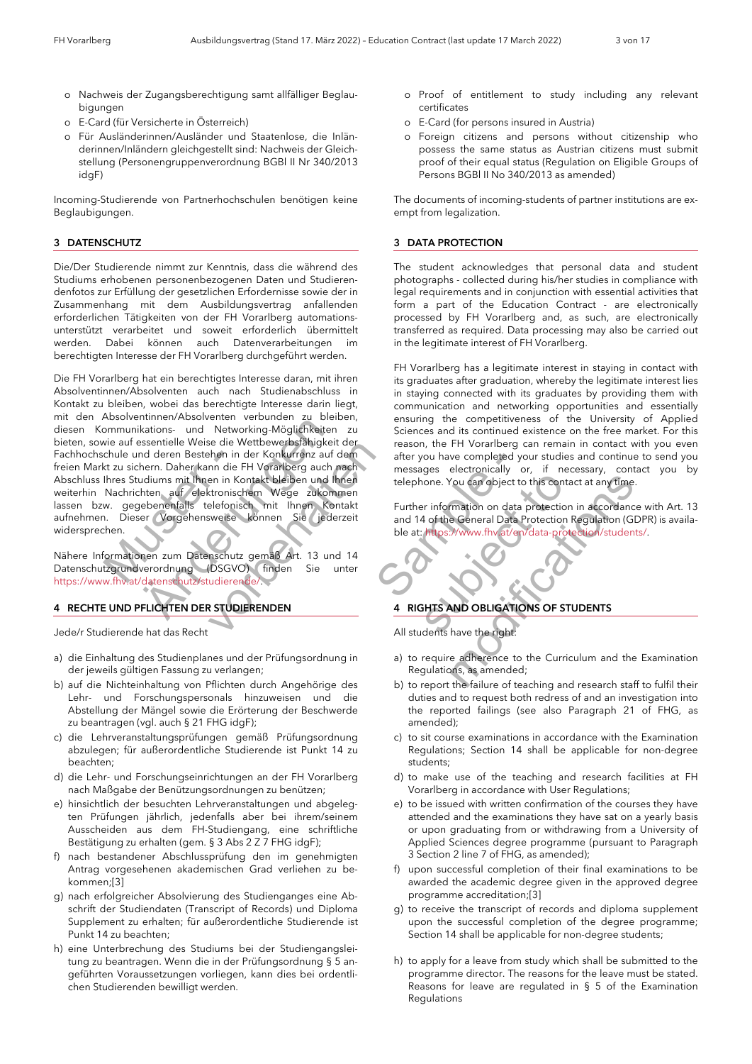- o Nachweis der Zugangsberechtigung samt allfälliger Beglaubigungen
- o E-Card (für Versicherte in Österreich)
- o Für Ausländerinnen/Ausländer und Staatenlose, die Inländerinnen/Inländern gleichgestellt sind: Nachweis der Gleichstellung (Personengruppenverordnung BGBl II Nr 340/2013 idgF)

Incoming-Studierende von Partnerhochschulen benötigen keine Beglaubigungen.

### *3 DATENSCHUTZ*

Die/Der Studierende nimmt zur Kenntnis, dass die während des Studiums erhobenen personenbezogenen Daten und Studierendenfotos zur Erfüllung der gesetzlichen Erfordernisse sowie der in Zusammenhang mit dem Ausbildungsvertrag anfallenden erforderlichen Tätigkeiten von der FH Vorarlberg automationsunterstützt verarbeitet und soweit erforderlich übermittelt werden. Dabei können auch Datenverarbeitungen im berechtigten Interesse der FH Vorarlberg durchgeführt werden.

chule und deren Bestehen in der Abstehen in der Kanadie Filhres Studiums mit Ihnen in Kontrachten auf dektronischen Nachrichten auf dektronischen Studiums (Europa Matematical Abstehen Abstrachten Abstrachten Studieren (DSG Hattions- und Networkholms-<br>
Hattions- und Networkholms-<br>
Hattions- und Networkholms-<br>
Hattions-<br>
Sesentielle Weise die Wettbewerbsfähigkeiten<br>
Indians mit Ihnen in Kontakt bleiben und Ihnen<br>
Undiums mit Ihnen in Kontakt b We die wetterwerbslatigkeit der Mehen in der Konkurrenz auf dem<br>
hen in der H Vorarlberg auch nach<br>
en in Kontakt bleiben und Ihnen<br>
elefonischen Wege zukommen<br>
elefonisch mit Ihnen Kontakt<br>
weise können Sie (jederzeit<br>
s Die FH Vorarlberg hat ein berechtigtes Interesse daran, mit ihren Absolventinnen/Absolventen auch nach Studienabschluss in Kontakt zu bleiben, wobei das berechtigte Interesse darin liegt, mit den Absolventinnen/Absolventen verbunden zu bleiben, diesen Kommunikations- und Networking-Möglichkeiten zu bieten, sowie auf essentielle Weise die Wettbewerbsfähigkeit der Fachhochschule und deren Bestehen in der Konkurrenz auf dem freien Markt zu sichern. Daher kann die FH Vorarlberg auch nach Abschluss Ihres Studiums mit Ihnen in Kontakt bleiben und Ihnen weiterhin Nachrichten auf elektronischem Wege zukommen lassen bzw. gegebenenfalls telefonisch mit Ihnen Kontakt aufnehmen. Dieser Vorgehensweise können Sie jederzeit widersprechen.

Nähere Informationen zum Datenschutz gemäß Art. 13 und 14 Datenschutzgrundverordnung (DSGVO) finden Sie unter https://www.fhv.at/datenschutz/studierende/.

### *4 RECHTE UND PFLICHTEN DER STUDIERENDEN*

Jede/r Studierende hat das Recht

- a) die Einhaltung des Studienplanes und der Prüfungsordnung in der jeweils gültigen Fassung zu verlangen;
- b) auf die Nichteinhaltung von Pflichten durch Angehörige des Lehr- und Forschungspersonals hinzuweisen und die Abstellung der Mängel sowie die Erörterung der Beschwerde zu beantragen (vgl. auch § 21 FHG idgF);
- c) die Lehrveranstaltungsprüfungen gemäß Prüfungsordnung abzulegen; für außerordentliche Studierende ist Punkt 14 zu beachten;
- d) die Lehr- und Forschungseinrichtungen an der FH Vorarlberg nach Maßgabe der Benützungsordnungen zu benützen;
- e) hinsichtlich der besuchten Lehrveranstaltungen und abgelegten Prüfungen jährlich, jedenfalls aber bei ihrem/seinem Ausscheiden aus dem FH-Studiengang, eine schriftliche Bestätigung zu erhalten (gem. § 3 Abs 2 Z 7 FHG idgF);
- f) nach bestandener Abschlussprüfung den im genehmigten Antrag vorgesehenen akademischen Grad verliehen zu bekommen;[3]
- g) nach erfolgreicher Absolvierung des Studienganges eine Abschrift der Studiendaten (Transcript of Records) und Diploma Supplement zu erhalten; für außerordentliche Studierende ist Punkt 14 zu beachten;
- h) eine Unterbrechung des Studiums bei der Studiengangsleitung zu beantragen. Wenn die in der Prüfungsordnung § 5 angeführten Voraussetzungen vorliegen, kann dies bei ordentlichen Studierenden bewilligt werden.
- o Proof of entitlement to study including any relevant certificates
- o E-Card (for persons insured in Austria)
- o Foreign citizens and persons without citizenship who possess the same status as Austrian citizens must submit proof of their equal status (Regulation on Eligible Groups of Persons BGBl II No 340/2013 as amended)

The documents of incoming-students of partner institutions are exempt from legalization.

### *3 DATA PROTECTION*

The student acknowledges that personal data and student photographs - collected during his/her studies in compliance with legal requirements and in conjunction with essential activities that form a part of the Education Contract - are electronically processed by FH Vorarlberg and, as such, are electronically transferred as required. Data processing may also be carried out in the legitimate interest of FH Vorarlberg.

FH Vorarlberg has a legitimate interest in staying in contact with its graduates after graduation, whereby the legitimate interest lies in staying connected with its graduates by providing them with communication and networking opportunities and essentially ensuring the competitiveness of the University of Applied Sciences and its continued existence on the free market. For this reason, the FH Vorarlberg can remain in contact with you even after you have completed your studies and continue to send you messages electronically or, if necessary, contact you by telephone. You can object to this contact at any time.

Further information on data protection in accordance with Art. 13 and 14 of the General Data Protection Regulation (GDPR) is available at: https://www.fhv.at/en/data-protection/students/.

### *4 RIGHTS AND OBLIGATIONS OF STUDENTS*

All students have the right:

- a) to require adherence to the Curriculum and the Examination Regulations, as amended;
- Frenz auf dem<br>
Sample der der auch nach<br>
e zukommen<br>
Ressages electronically of<br>
e zukommen<br>
Sie (jederzeit<br>
and 14 of the General Data P<br>
ble at: https://www.fhv.at/en/<br>
st. 13 und 14<br>
Sie unter<br>
Sie unter<br>
Sie unter<br>
All Substitution<br>
The mean telephone. You can object to this contact<br>
Terzeit<br>
and 14 of the General Data Protection R<br>
ble at: Mtps://www.fhyat/en/data-prote<br>
d<br>
d<br>
d<br>
4<br>
unter<br> **4**<br>
RIGHTS AND OBLIGATIONS OF STU<br>
All student rephone. You can object to this contact at any time.<br>
ther information on data protection in accordance v<br>
114 of the General Data Protection Regulation (GDP)<br>
at: https://www.fhv.at/en/data-protection/students/.<br>
RIGHTS A b) to report the failure of teaching and research staff to fulfil their duties and to request both redress of and an investigation into the reported failings (see also Paragraph 21 of FHG, as amended);
	- c) to sit course examinations in accordance with the Examination Regulations; Section 14 shall be applicable for non-degree students;
	- d) to make use of the teaching and research facilities at FH Vorarlberg in accordance with User Regulations;
	- e) to be issued with written confirmation of the courses they have attended and the examinations they have sat on a yearly basis or upon graduating from or withdrawing from a University of Applied Sciences degree programme (pursuant to Paragraph 3 Section 2 line 7 of FHG, as amended);
	- f) upon successful completion of their final examinations to be awarded the academic degree given in the approved degree programme accreditation;[3]
	- g) to receive the transcript of records and diploma supplement upon the successful completion of the degree programme; Section 14 shall be applicable for non-degree students;
	- h) to apply for a leave from study which shall be submitted to the programme director. The reasons for the leave must be stated. Reasons for leave are regulated in § 5 of the Examination Regulations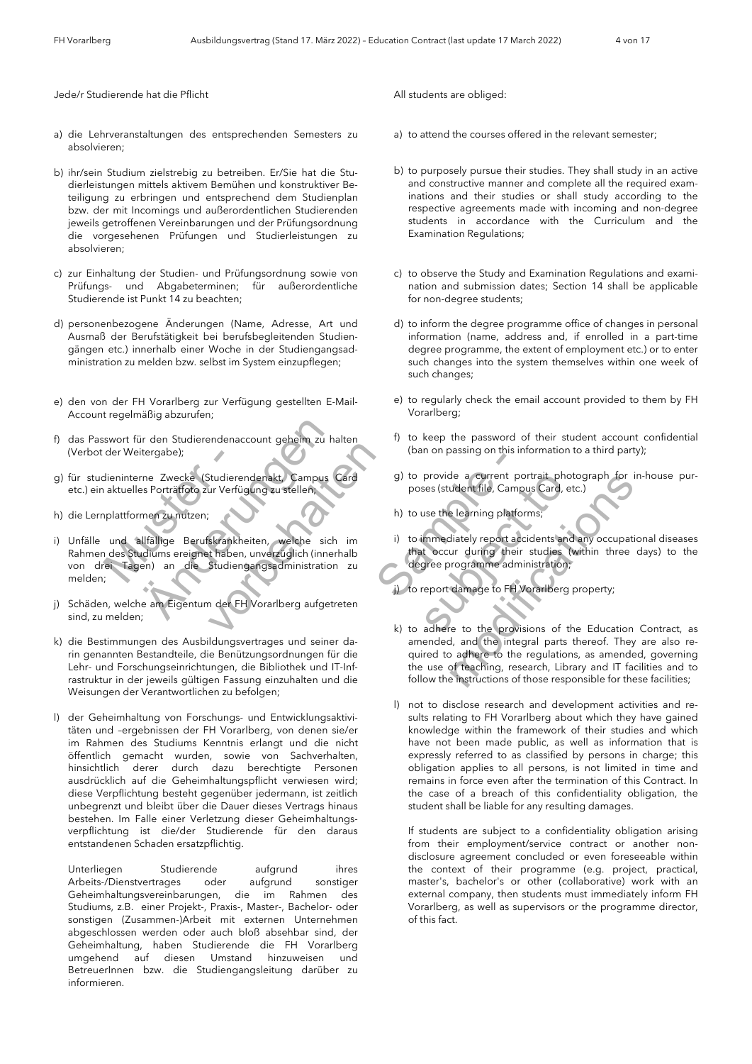Jede/r Studierende hat die Pflicht

- a) die Lehrveranstaltungen des entsprechenden Semesters zu absolvieren;
- b) ihr/sein Studium zielstrebig zu betreiben. Er/Sie hat die Studierleistungen mittels aktivem Bemühen und konstruktiver Beteiligung zu erbringen und entsprechend dem Studienplan bzw. der mit Incomings und außerordentlichen Studierenden jeweils getroffenen Vereinbarungen und der Prüfungsordnung die vorgesehenen Prüfungen und Studierleistungen zu absolvieren;
- c) zur Einhaltung der Studien- und Prüfungsordnung sowie von Prüfungs- und Abgabeterminen; für außerordentliche Studierende ist Punkt 14 zu beachten;
- d) personenbezogene Änderungen (Name, Adresse, Art und Ausmaß der Berufstätigkeit bei berufsbegleitenden Studiengängen etc.) innerhalb einer Woche in der Studiengangsadministration zu melden bzw. selbst im System einzupflegen;
- e) den von der FH Vorarlberg zur Verfügung gestellten E-Mail-Account regelmäßig abzurufen;
- f) das Passwort für den Studierendenaccount geheim zu halten (Verbot der Weitergabe);
- g) für studieninterne Zwecke (Studierendenakt, Campus Card etc.) ein aktuelles Porträtfoto zur Verfügung zu stellen;
- h) die Lernplattformen zu nutzen;
- der Weitergabe);<br>dieninterne Zwecke (Studierer)<br>aktuelles Porträtfoto zur Verfüg<br>plattformen zu nutzen;<br>und allfällige Berufskrankha<br>des Studiums ereignet haben<br>ei Tagen) an die Studien;<br>; ür den Studierendenaccount geheim zu hattergabe);<br>
rne Zwecke (Studierendenakt, Campus<br>
es Porträtfoto zur Verfügung zu stellen;<br>
rnen zu nutzen;<br>
men zu nutzen;<br>
allfällige Berufskrankheiten, welche sich<br>
udiums ereignet Studierendenakt, Campus Card<br>
ur Verfügung zu stellen,<br>
skrankheiten, welche sich im<br>
studiengangsadministration zu<br>
n der FH Vorarlberg aufgetreten<br>
Idungsvertrages und seiner da-<br>
le Benützungsordnungen für die i) Unfälle und allfällige Berufskrankheiten, welche sich im Rahmen des Studiums ereignet haben, unverzüglich (innerhalb von drei Tagen) an die Studiengangsadministration zu melden;
- j) Schäden, welche am Eigentum der FH Vorarlberg aufgetreten sind, zu melden;
- k) die Bestimmungen des Ausbildungsvertrages und seiner darin genannten Bestandteile, die Benützungsordnungen für die Lehr- und Forschungseinrichtungen, die Bibliothek und IT-Infrastruktur in der jeweils gültigen Fassung einzuhalten und die Weisungen der Verantwortlichen zu befolgen;
- l) der Geheimhaltung von Forschungs- und Entwicklungsaktivitäten und –ergebnissen der FH Vorarlberg, von denen sie/er im Rahmen des Studiums Kenntnis erlangt und die nicht öffentlich gemacht wurden, sowie von Sachverhalten, hinsichtlich derer durch dazu berechtigte Personen ausdrücklich auf die Geheimhaltungspflicht verwiesen wird; diese Verpflichtung besteht gegenüber jedermann, ist zeitlich unbegrenzt und bleibt über die Dauer dieses Vertrags hinaus bestehen. Im Falle einer Verletzung dieser Geheimhaltungsverpflichtung ist die/der Studierende für den daraus entstandenen Schaden ersatzpflichtig.

Unterliegen Studierende aufgrund ihres Arbeits-/Dienstvertrages oder aufgrund sonstiger Geheimhaltungsvereinbarungen, die im Rahmen des Studiums, z.B. einer Projekt-, Praxis-, Master-, Bachelor- oder sonstigen (Zusammen-)Arbeit mit externen Unternehmen abgeschlossen werden oder auch bloß absehbar sind, der Geheimhaltung, haben Studierende die FH Vorarlberg umgehend auf diesen Umstand hinzuweisen und BetreuerInnen bzw. die Studiengangsleitung darüber zu informieren.

All students are obliged:

- a) to attend the courses offered in the relevant semester;
- b) to purposely pursue their studies. They shall study in an active and constructive manner and complete all the required examinations and their studies or shall study according to the respective agreements made with incoming and non-degree students in accordance with the Curriculum and the Examination Regulations;
- c) to observe the Study and Examination Regulations and examination and submission dates; Section 14 shall be applicable for non-degree students;
- d) to inform the degree programme office of changes in personal information (name, address and, if enrolled in a part-time degree programme, the extent of employment etc.) or to enter such changes into the system themselves within one week of such changes;
- e) to regularly check the email account provided to them by FH Vorarlberg;
- f) to keep the password of their student account confidential (ban on passing on this information to a third party);
- g) to provide a current portrait photograph for in-house purposes (student file, Campus Card, etc.)
- h) to use the learning platforms;
- i) to immediately report accidents and any occupational diseases that occur during their studies (within three days) to the degree programme administration;

j) to report damage to FH Vorarlberg property;

- Campus Card (burion passing on this internal carrent political political political political political political political political political political political political political political political political political k) to adhere to the provisions of the Education Contract, as amended, and the integral parts thereof. They are also required to adhere to the regulations, as amended, governing the use of teaching, research, Library and IT facilities and to follow the instructions of those responsible for these facilities;
	- Card g) to provide a current portrait photo<br>poses (student file, Campus Card, etc<br>
	h) to use the learning platforms;<br>
	in i) to immediately report accidents and<br>
	that occur during their studies (we<br>
	degree programme adminis (a) to provide a current portrait photograph for in-<br>poses (student file, Campus Card, etc.)<br>
	h) to use the learning platforms;<br>
	(i) to immediately report accidents and any occupation<br>
	that accur during their studies (with l) not to disclose research and development activities and results relating to FH Vorarlberg about which they have gained knowledge within the framework of their studies and which have not been made public, as well as information that is expressly referred to as classified by persons in charge; this obligation applies to all persons, is not limited in time and remains in force even after the termination of this Contract. In the case of a breach of this confidentiality obligation, the student shall be liable for any resulting damages.

If students are subject to a confidentiality obligation arising from their employment/service contract or another nondisclosure agreement concluded or even foreseeable within the context of their programme (e.g. project, practical, master's, bachelor's or other (collaborative) work with an external company, then students must immediately inform FH Vorarlberg, as well as supervisors or the programme director, of this fact.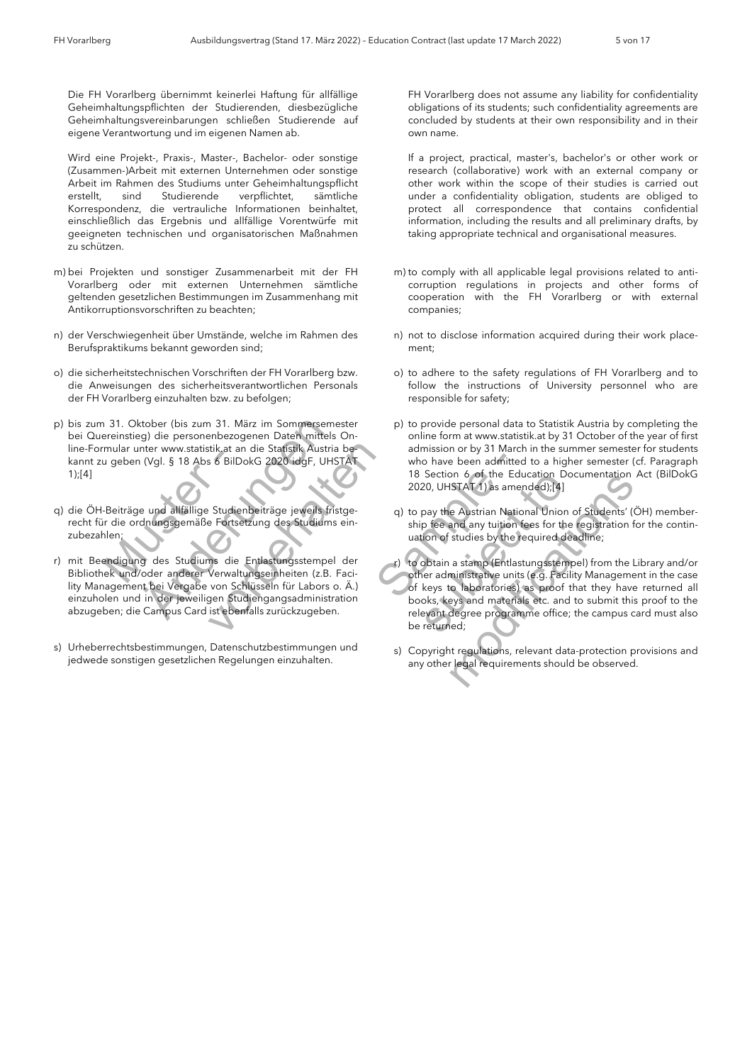Die FH Vorarlberg übernimmt keinerlei Haftung für allfällige Geheimhaltungspflichten der Studierenden, diesbezügliche Geheimhaltungsvereinbarungen schließen Studierende auf eigene Verantwortung und im eigenen Namen ab.

Wird eine Projekt-, Praxis-, Master-, Bachelor- oder sonstige (Zusammen-)Arbeit mit externen Unternehmen oder sonstige Arbeit im Rahmen des Studiums unter Geheimhaltungspflicht erstellt, sind Studierende verpflichtet, sämtliche Korrespondenz, die vertrauliche Informationen beinhaltet, einschließlich das Ergebnis und allfällige Vorentwürfe mit geeigneten technischen und organisatorischen Maßnahmen zu schützen.

- m) bei Projekten und sonstiger Zusammenarbeit mit der FH Vorarlberg oder mit externen Unternehmen sämtliche geltenden gesetzlichen Bestimmungen im Zusammenhang mit Antikorruptionsvorschriften zu beachten;
- n) der Verschwiegenheit über Umstände, welche im Rahmen des Berufspraktikums bekannt geworden sind;
- o) die sicherheitstechnischen Vorschriften der FH Vorarlberg bzw. die Anweisungen des sicherheitsverantwortlichen Personals der FH Vorarlberg einzuhalten bzw. zu befolgen;
- p) bis zum 31. Oktober (bis zum 31. März im Sommersemester bei Quereinstieg) die personenbezogenen Daten mittels Online-Formular unter www.statistik.at an die Statistik Austria bekannt zu geben (Vgl. § 18 Abs 6 BilDokG 2020 idgF, UHSTAT 1);[4]
- muar unter www.statistik.at and<br>
1 geben (Vgl. § 18 Abs 6 BilDo<br>
-Beiträge und allfällige Studier<br>
1 die ordnungsgemäße Fortse<br>
1 len:<br>
-Andigung des Studiums die ek und/oder anderer Verwalt q) die ÖH-Beiträge und allfällige Studienbeiträge jeweils fristgerecht für die ordnungsgemäße Fortsetzung des Studiums einzubezahlen;
- ktober (bis zum 31. März im Sommerseme<br>
seg) die personenbezogenen Daten mittels<br>
inter www.statistik.at an die Statistik Austria<br>
1 (Vgl. § 18 Abs 6 BilDokG 2020 idgF, UHS<br>
1 (Vgl. § 18 Abs 6 BilDokG 2020 idgF, UHS<br>
1 (Vg tik at an die Statistik Austria be-<br>
S 6 BilDokG 2020 idgF, UHSTAT<br>
Studienbeiträge jeweils fristge-<br>
Fortsetzung des Studiums ein-<br>
Studienbeiträge jeweils fristge-<br>
Fortsetzung des Studiums ein-<br>
Studiengangstempel der<br> r) mit Beendigung des Studiums die Entlastungsstempel der Bibliothek und/oder anderer Verwaltungseinheiten (z.B. Facility Management bei Vergabe von Schlüsseln für Labors o. Ä.) einzuholen und in der jeweiligen Studiengangsadministration abzugeben; die Campus Card ist ebenfalls zurückzugeben.
- s) Urheberrechtsbestimmungen, Datenschutzbestimmungen und jedwede sonstigen gesetzlichen Regelungen einzuhalten.

 FH Vorarlberg does not assume any liability for confidentiality obligations of its students; such confidentiality agreements are concluded by students at their own responsibility and in their own name.

If a project, practical, master's, bachelor's or other work or research (collaborative) work with an external company or other work within the scope of their studies is carried out under a confidentiality obligation, students are obliged to protect all correspondence that contains confidential information, including the results and all preliminary drafts, by taking appropriate technical and organisational measures.

- m) to comply with all applicable legal provisions related to anticorruption regulations in projects and other forms of cooperation with the FH Vorarlberg or with external companies;
- n) not to disclose information acquired during their work placement;
- o) to adhere to the safety regulations of FH Vorarlberg and to follow the instructions of University personnel who are responsible for safety;
- p) to provide personal data to Statistik Austria by completing the online form at www.statistik.at by 31 October of the year of first admission or by 31 March in the summer semester for students who have been admitted to a higher semester (cf. Paragraph 18 Section 6 of the Education Documentation Act (BilDokG 2020, UHSTAT 1) as amended);[4]
- q) to pay the Austrian National Union of Students' (ÖH) membership fee and any tuition fees for the registration for the continuation of studies by the required deadline;

Example the same that the same that the same that the same that the same that the same that the same that the same that the same that the same of studies of the Edu and Sample der the same that the same that the same of st Is section 6 of the Education Doctors<br>
2020, UHSTAT 1) as amended);[4]<br>
streeting the properties of the unition of studies by the required deal<br>
der<br>
1. The contract to the materials of keys to a book the required deal<br>
de Is section o of the Education Documentation Accords 2020, UHSTAT 1) as amended);[4]<br>
q) to pay the Austrian National Union of Students' (ÖH<br>
ship fee and any tuition fees for the registration for<br>
uation of studies by the r) to obtain a stamp (Entlastungsstempel) from the Library and/or other administrative units (e.g. Facility Management in the case of keys to laboratories) as proof that they have returned all books, keys and materials etc. and to submit this proof to the relevant degree programme office; the campus card must also be returned;

s) Copyright regulations, relevant data-protection provisions and any other legal requirements should be observed.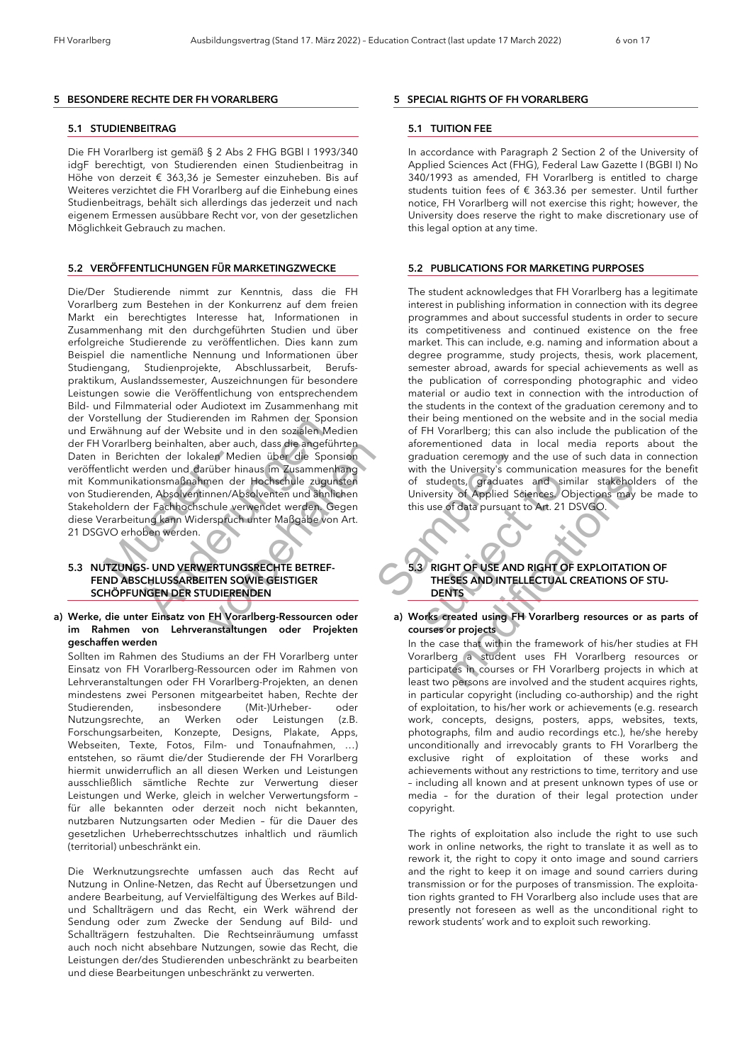#### *5 BESONDERE RECHTE DER FH VORARLBERG*

#### *5.1 STUDIENBEITRAG*

Die FH Vorarlberg ist gemäß § 2 Abs 2 FHG BGBl I 1993/340 idgF berechtigt, von Studierenden einen Studienbeitrag in Höhe von derzeit € 363,36 je Semester einzuheben. Bis auf Weiteres verzichtet die FH Vorarlberg auf die Einhebung eines Studienbeitrags, behält sich allerdings das jederzeit und nach eigenem Ermessen ausübbare Recht vor, von der gesetzlichen Möglichkeit Gebrauch zu machen.

#### *5.2 VERÖFFENTLICHUNGEN FÜR MARKETINGZWECKE*

n Berichten der lokalen Mechanisch<br>
Internationsmaßnahmen der Mechanisch<br>
Internationsmaßnahmen der dierenden, Absolventinnen/Ab<br>
Iddern der Fachhochschule ver<br>
Internationsmaßnahmen<br>
Internationsmaßnahmen<br>
VO erhoben werd France Controllery<br>
State School and School and School and School and School and School and School and School<br>
State Angle School and School and School and School and School and School<br>
State Fachhochschule verwendet werde aber auch, dass die angeführten<br>
en Medien über die Sponsion<br>
über hinaus im Zusammenhang<br>
nen der Hochschule zugunsten<br>
nnen/Absolventen und ähnlichen<br>
hule verwendet werden. Gegen<br>
rspruch unter Maßgabe von Art.<br>
ERTUNGS Die/Der Studierende nimmt zur Kenntnis, dass die FH Vorarlberg zum Bestehen in der Konkurrenz auf dem freien Markt ein berechtigtes Interesse hat, Informationen in Zusammenhang mit den durchgeführten Studien und über erfolgreiche Studierende zu veröffentlichen. Dies kann zum Beispiel die namentliche Nennung und Informationen über Studiengang, Studienprojekte, Abschlussarbeit, Berufspraktikum, Auslandssemester, Auszeichnungen für besondere Leistungen sowie die Veröffentlichung von entsprechendem Bild- und Filmmaterial oder Audiotext im Zusammenhang mit der Vorstellung der Studierenden im Rahmen der Sponsion und Erwähnung auf der Website und in den sozialen Medien der FH Vorarlberg beinhalten, aber auch, dass die angeführten Daten in Berichten der lokalen Medien über die Sponsion veröffentlicht werden und darüber hinaus im Zusammenhang mit Kommunikationsmaßnahmen der Hochschule zugunsten von Studierenden, Absolventinnen/Absolventen und ähnlichen Stakeholdern der Fachhochschule verwendet werden. Gegen diese Verarbeitung kann Widerspruch unter Maßgabe von Art. 21 DSGVO erhoben werden.

### *5.3 NUTZUNGS- UND VERWERTUNGSRECHTE BETREF- FEND ABSCHLUSSARBEITEN SOWIE GEISTIGER SCHÖPFUNGEN DER STUDIERENDEN*

#### *a) Werke, die unter Einsatz von FH Vorarlberg-Ressourcen oder im Rahmen von Lehrveranstaltungen oder Projekten geschaffen werden*

 Sollten im Rahmen des Studiums an der FH Vorarlberg unter Einsatz von FH Vorarlberg-Ressourcen oder im Rahmen von Lehrveranstaltungen oder FH Vorarlberg-Projekten, an denen mindestens zwei Personen mitgearbeitet haben, Rechte der Studierenden, insbesondere (Mit-)Urheber- oder Nutzungsrechte, an Werken oder Leistungen (z.B. Forschungsarbeiten, Konzepte, Designs, Plakate, Apps, Webseiten, Texte, Fotos, Film- und Tonaufnahmen, …) entstehen, so räumt die/der Studierende der FH Vorarlberg hiermit unwiderruflich an all diesen Werken und Leistungen ausschließlich sämtliche Rechte zur Verwertung dieser Leistungen und Werke, gleich in welcher Verwertungsform – für alle bekannten oder derzeit noch nicht bekannten, nutzbaren Nutzungsarten oder Medien – für die Dauer des gesetzlichen Urheberrechtsschutzes inhaltlich und räumlich (territorial) unbeschränkt ein.

 Die Werknutzungsrechte umfassen auch das Recht auf Nutzung in Online-Netzen, das Recht auf Übersetzungen und andere Bearbeitung, auf Vervielfältigung des Werkes auf Bildund Schallträgern und das Recht, ein Werk während der Sendung oder zum Zwecke der Sendung auf Bild- und Schallträgern festzuhalten. Die Rechtseinräumung umfasst auch noch nicht absehbare Nutzungen, sowie das Recht, die Leistungen der/des Studierenden unbeschränkt zu bearbeiten und diese Bearbeitungen unbeschränkt zu verwerten.

#### *5 SPECIAL RIGHTS OF FH VORARLBERG*

#### *5.1 TUITION FEE*

In accordance with Paragraph 2 Section 2 of the University of Applied Sciences Act (FHG), Federal Law Gazette I (BGBI I) No 340/1993 as amended, FH Vorarlberg is entitled to charge students tuition fees of € 363.36 per semester. Until further notice, FH Vorarlberg will not exercise this right; however, the University does reserve the right to make discretionary use of this legal option at any time.

#### *5.2 PUBLICATIONS FOR MARKETING PURPOSES*

The student acknowledges that FH Vorarlberg has a legitimate interest in publishing information in connection with its degree programmes and about successful students in order to secure its competitiveness and continued existence on the free market. This can include, e.g. naming and information about a degree programme, study projects, thesis, work placement, semester abroad, awards for special achievements as well as the publication of corresponding photographic and video material or audio text in connection with the introduction of the students in the context of the graduation ceremony and to their being mentioned on the website and in the social media of FH Vorarlberg; this can also include the publication of the aforementioned data in local media reports about the graduation ceremony and the use of such data in connection with the University's communication measures for the benefit of students, graduates and similar stakeholders of the University of Applied Sciences. Objections may be made to this use of data pursuant to Art. 21 DSVGO.

### *5.3 RIGHT OF USE AND RIGHT OF EXPLOITATION OF THESES AND INTELLECTUAL CREATIONS OF STU- DENTS*

*a) Works created using FH Vorarlberg resources or as parts of courses or projects*

die Sponsion<br>
Sammenhang<br>
Je zugunsten<br>
Sammenhang<br>
Je zugunsten<br>
Sammenhang<br>
Sigabe von Art.<br>
Sammen Mark Berner His use of data pursuant to<br>
Sammen this use of data pursuant to<br>
Sammen the summer His use of data pursuant Subseter of students, graduates and similation<br>
subseter this use of data pursuant to Art. 21 D.<br>
S.3 RIGHT OF USE AND RIGHT OF<br>
THESES AND INTELLECTUAL C<br>
DENTS<br>
oder<br>
a) Works created using FH Vorarlberg<br>
courses or proj of students, graduates and similar stakeholde<br>University of Applied Sciences Objections may be<br>this use of data pursuant to Art. 21 DSVGO.<br>
S.3 RIGHT OF USE AND RIGHT OF EXPLOITATION<br>
THESES AND INTELLECTUAL CREATIONS OF S In the case that within the framework of his/her studies at FH Vorarlberg a student uses FH Vorarlberg resources or participates in courses or FH Vorarlberg projects in which at least two persons are involved and the student acquires rights, in particular copyright (including co-authorship) and the right of exploitation, to his/her work or achievements (e.g. research work, concepts, designs, posters, apps, websites, texts, photographs, film and audio recordings etc.), he/she hereby unconditionally and irrevocably grants to FH Vorarlberg the exclusive right of exploitation of these works and achievements without any restrictions to time, territory and use – including all known and at present unknown types of use or media – for the duration of their legal protection under copyright.

> The rights of exploitation also include the right to use such work in online networks, the right to translate it as well as to rework it, the right to copy it onto image and sound carriers and the right to keep it on image and sound carriers during transmission or for the purposes of transmission. The exploitation rights granted to FH Vorarlberg also include uses that are presently not foreseen as well as the unconditional right to rework students' work and to exploit such reworking.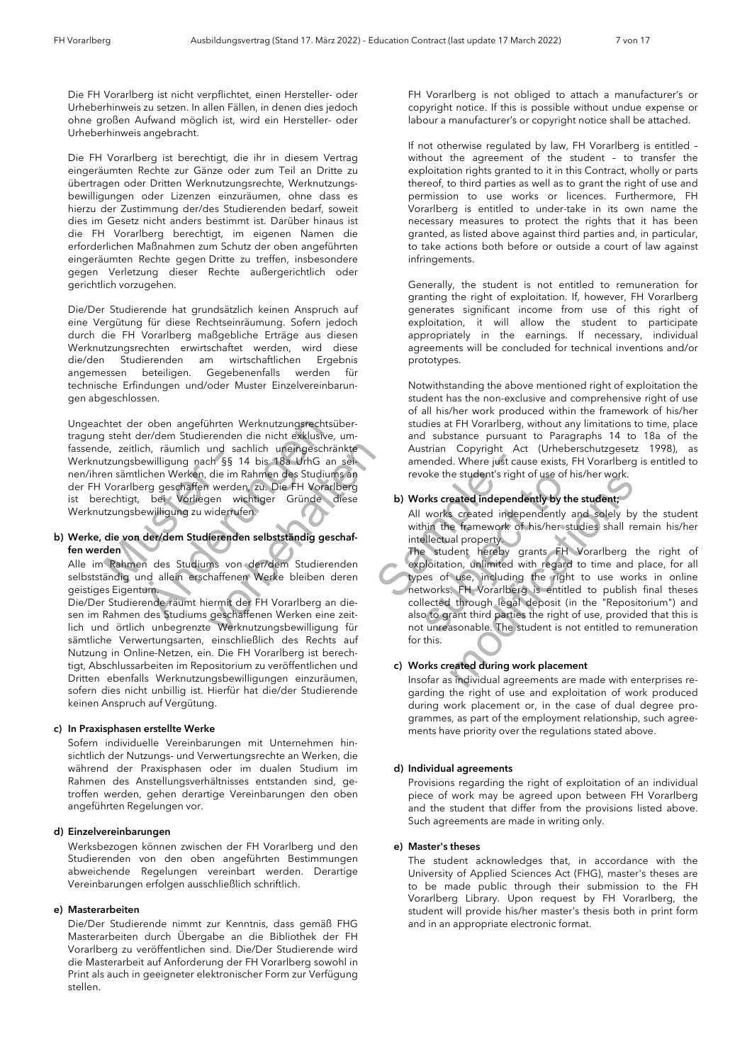Die FH Vorarlberg ist nicht verpflichtet, einen Hersteller- oder Urheberhinweis zu setzen. In allen Fällen, in denen dies jedoch ohne großen Aufwand möglich ist, wird ein Hersteller- oder Urheberhinweis angebracht.

Die FH Vorarlberg ist berechtigt, die ihr in diesem Vertrag eingeräumten Rechte zur Gänze oder zum Teil an Dritte zu übertragen oder Dritten Werknutzungsrechte, Werknutzungsbewilligungen oder Lizenzen einzuräumen, ohne dass es hierzu der Zustimmung der/des Studierenden bedarf, soweit dies im Gesetz nicht anders bestimmt ist. Darüber hinaus ist die FH Vorarlberg berechtigt, im eigenen Namen die erforderlichen Maßnahmen zum Schutz der oben angeführten eingeräumten Rechte gegen Dritte zu treffen, insbesondere gegen Verletzung dieser Rechte außergerichtlich oder gerichtlich vorzugehen.

Die/Der Studierende hat grundsätzlich keinen Anspruch auf eine Vergütung für diese Rechtseinräumung. Sofern jedoch durch die FH Vorarlberg maßgebliche Erträge aus diesen Werknutzungsrechten erwirtschaftet werden, wird diese die/den Studierenden am wirtschaftlichen Ergebnis angemessen beteiligen. Gegebenenfalls werden für technische Erfindungen und/oder Muster Einzelvereinbarungen abgeschlossen.

Musteriae, Zeltiich, Tauminch und Sachlich uneingeschrankte<br>
Werknutzungsbewilligung nach §§ 14 bis 18a UrhG an sei-<br>
nen/ihren sämtlichen Werken, die im Rahmen des Studiums an<br>
der FH Vorarlberg geschaffen werden, zu. Die r oben angeführten Werknutzungsrechtsüter/dem Studierenden die nicht exklusive,<br>tich, räumlich und sachlich uneingeschrändewilligung nach §§ 14 bis 18a UrhG an<br>lichen Werken, die im Rahmen des Studium<br>erg geschaffen werden und sachlich uneingeschränkte<br>
ch §§ 14 bis 18a UrhG an sei-<br>
die im Rahmen des Studiums an<br>
werden, zu. Die FH Vorarlberg<br>
yiderrufen.<br>
widerrufen.<br>
ierenden selbstständig geschaf-<br>
ms von der/dem Studierenden<br>
haffenen W Ungeachtet der oben angeführten Werknutzungsrechtsübertragung steht der/dem Studierenden die nicht exklusive, umfassende, zeitlich, räumlich und sachlich uneingeschränkte nen/ihren sämtlichen Werken, die im Rahmen des Studiums an der FH Vorarlberg geschaffen werden, zu. Die FH Vorarlberg ist berechtigt, bei Vorliegen wichtiger Gründe diese Werknutzungsbewilligung zu widerrufen.

#### *b) Werke, die von der/dem Studierenden selbstständig geschaffen werden*

 Alle im Rahmen des Studiums von der/dem Studierenden selbstständig und allein erschaffenen Werke bleiben deren geistiges Eigentum.

Die/Der Studierende räumt hiermit der FH Vorarlberg an diesen im Rahmen des Studiums geschaffenen Werken eine zeitlich und örtlich unbegrenzte Werknutzungsbewilligung für sämtliche Verwertungsarten, einschließlich des Rechts auf Nutzung in Online-Netzen, ein. Die FH Vorarlberg ist berechtigt, Abschlussarbeiten im Repositorium zu veröffentlichen und Dritten ebenfalls Werknutzungsbewilligungen einzuräumen, sofern dies nicht unbillig ist. Hierfür hat die/der Studierende keinen Anspruch auf Vergütung.

#### *c) In Praxisphasen erstellte Werke*

 Sofern individuelle Vereinbarungen mit Unternehmen hinsichtlich der Nutzungs- und Verwertungsrechte an Werken, die während der Praxisphasen oder im dualen Studium im Rahmen des Anstellungsverhältnisses entstanden sind, getroffen werden, gehen derartige Vereinbarungen den oben angeführten Regelungen vor.

#### *d) Einzelvereinbarungen*

 Werksbezogen können zwischen der FH Vorarlberg und den Studierenden von den oben angeführten Bestimmungen abweichende Regelungen vereinbart werden. Derartige Vereinbarungen erfolgen ausschließlich schriftlich.

#### *e) Masterarbeiten*

 Die/Der Studierende nimmt zur Kenntnis, dass gemäß FHG Masterarbeiten durch Übergabe an die Bibliothek der FH Vorarlberg zu veröffentlichen sind. Die/Der Studierende wird die Masterarbeit auf Anforderung der FH Vorarlberg sowohl in Print als auch in geeigneter elektronischer Form zur Verfügung stellen.

 FH Vorarlberg is not obliged to attach a manufacturer's or copyright notice. If this is possible without undue expense or labour a manufacturer's or copyright notice shall be attached.

If not otherwise regulated by law, FH Vorarlberg is entitled – without the agreement of the student – to transfer the exploitation rights granted to it in this Contract, wholly or parts thereof, to third parties as well as to grant the right of use and permission to use works or licences. Furthermore, FH Vorarlberg is entitled to under-take in its own name the necessary measures to protect the rights that it has been granted, as listed above against third parties and, in particular, to take actions both before or outside a court of law against infringements.

Generally, the student is not entitled to remuneration for granting the right of exploitation. If, however, FH Vorarlberg generates significant income from use of this right of exploitation, it will allow the student to participate appropriately in the earnings. If necessary, individual agreements will be concluded for technical inventions and/or prototypes.

 Notwithstanding the above mentioned right of exploitation the student has the non-exclusive and comprehensive right of use of all his/her work produced within the framework of his/her studies at FH Vorarlberg, without any limitations to time, place and substance pursuant to Paragraphs 14 to 18a of the Austrian Copyright Act (Urheberschutzgesetz 1998), as amended. Where just cause exists, FH Vorarlberg is entitled to revoke the student's right of use of his/her work.

### *b) Works created independently by the student;*

 All works created independently and solely by the student within the framework of his/her studies shall remain his/her intellectual property.

Which an set<br>
same and the set of the studiums and the studiums and the studiums of<br>
FR Vorariberg<br>
inde diese<br>
b Works created independent<br>
All works created independent<br>
All works created independent<br>
All works created i is an a revoke the students right of use of his<br>berg<br>diese<br>b) Works created independently by the<br>all works created independently a<br>within the framework of his/her student<br>for the student hereby grants. FH<br>exploitation, unl revoke the students right of use or nis/ner work.<br>
b) Works created independently by the student;<br>
all works created independently and solely by the within the framework of his/her studies shall remain<br>
intellectual proper The student hereby grants FH Vorarlberg the right of exploitation, unlimited with regard to time and place, for all types of use, including the right to use works in online networks. FH Vorarlberg is entitled to publish final theses collected through legal deposit (in the "Repositorium") and also to grant third parties the right of use, provided that this is not unreasonable. The student is not entitled to remuneration for this.

### *c) Works created during work placement*

 Insofar as individual agreements are made with enterprises regarding the right of use and exploitation of work produced during work placement or, in the case of dual degree programmes, as part of the employment relationship, such agreements have priority over the regulations stated above.

#### *d) Individual agreements*

 Provisions regarding the right of exploitation of an individual piece of work may be agreed upon between FH Vorarlberg and the student that differ from the provisions listed above. Such agreements are made in writing only.

#### *e) Master's theses*

 The student acknowledges that, in accordance with the University of Applied Sciences Act (FHG), master's theses are to be made public through their submission to the FH Vorarlberg Library. Upon request by FH Vorarlberg, the student will provide his/her master's thesis both in print form and in an appropriate electronic format.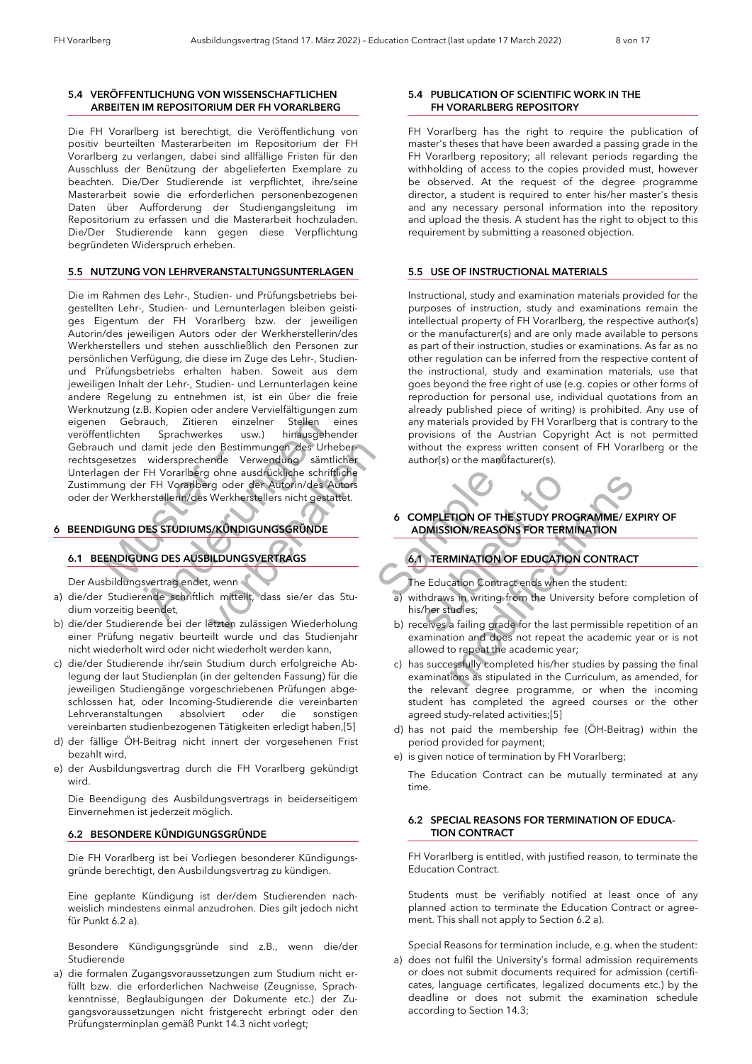#### *5.4 VERÖFFENTLICHUNG VON WISSENSCHAFTLICHEN ARBEITEN IM REPOSITORIUM DER FH VORARLBERG*

 Die FH Vorarlberg ist berechtigt, die Veröffentlichung von positiv beurteilten Masterarbeiten im Repositorium der FH Vorarlberg zu verlangen, dabei sind allfällige Fristen für den Ausschluss der Benützung der abgelieferten Exemplare zu beachten. Die/Der Studierende ist verpflichtet, ihre/seine Masterarbeit sowie die erforderlichen personenbezogenen Daten über Aufforderung der Studiengangsleitung im Repositorium zu erfassen und die Masterarbeit hochzuladen. Die/Der Studierende kann gegen diese Verpflichtung begründeten Widerspruch erheben.

#### *5.5 NUTZUNG VON LEHRVERANSTALTUNGSUNTERLAGEN*

estzes widersprechende V<br>sentzes widersprechende V<br>nung der FH Vorarlberg ohne a<br>nung der FH Vorarlberg oder<br>r Werkherstellerin/des Werkhe<br>**GUNG DES AUSBILDUNG**<br>ENDIGUNG DES AUSBILDUNG Frauch, Zitieren einzelner Stellen e<br>
Sprachwerkes usw.) hinausgeher<br>
damit jede den Bestimmungen des Urhe<br>
widersprechende Verwendung sämtlichter<br>
FH Vorarlberg ohne ausdrückliche schrift<br>
er FH Vorarlberg ohne ausdrückli Finder Verwendung des Urhebert<br>Finder Verwendung sämtlicher<br>Finder der Autorin/des Autors<br>Werkherstellers nicht gestattet.<br>S/KÜNDIGUNGSGRÜNDE<br>S/KÜNDIGUNGSGRÜNDE<br>FILDUNGSVERTRAGS<br>Armen Heilt, dass sie/er das Stu-<br>Etzten zul Die im Rahmen des Lehr-, Studien- und Prüfungsbetriebs beigestellten Lehr-, Studien- und Lernunterlagen bleiben geistiges Eigentum der FH Vorarlberg bzw. der jeweiligen Autorin/des jeweiligen Autors oder der Werkherstellerin/des Werkherstellers und stehen ausschließlich den Personen zur persönlichen Verfügung, die diese im Zuge des Lehr-, Studienund Prüfungsbetriebs erhalten haben. Soweit aus dem jeweiligen Inhalt der Lehr-, Studien- und Lernunterlagen keine andere Regelung zu entnehmen ist, ist ein über die freie Werknutzung (z.B. Kopien oder andere Vervielfältigungen zum eigenen Gebrauch, Zitieren einzelner Stellen eines veröffentlichten Sprachwerkes usw.) hinausgehender Gebrauch und damit jede den Bestimmungen des Urheberrechtsgesetzes widersprechende Verwendung sämtlicher Unterlagen der FH Vorarlberg ohne ausdrückliche schriftliche Zustimmung der FH Vorarlberg oder der Autorin/des Autors oder der Werkherstellerin/des Werkherstellers nicht gestattet.

### *6 BEENDIGUNG DES STUDIUMS/KÜNDIGUNGSGRÜNDE*

### *6.1 BEENDIGUNG DES AUSBILDUNGSVERTRAGS*

Der Ausbildungsvertrag endet, wenn

- a) die/der Studierende schriftlich mitteilt, dass sie/er das Studium vorzeitig beendet,
- b) die/der Studierende bei der letzten zulässigen Wiederholung einer Prüfung negativ beurteilt wurde und das Studienjahr nicht wiederholt wird oder nicht wiederholt werden kann,
- c) die/der Studierende ihr/sein Studium durch erfolgreiche Ablegung der laut Studienplan (in der geltenden Fassung) für die jeweiligen Studiengänge vorgeschriebenen Prüfungen abgeschlossen hat, oder Incoming-Studierende die vereinbarten Lehrveranstaltungen absolviert oder die sonstigen vereinbarten studienbezogenen Tätigkeiten erledigt haben,[5]
- d) der fällige ÖH-Beitrag nicht innert der vorgesehenen Frist bezahlt wird,
- e) der Ausbildungsvertrag durch die FH Vorarlberg gekündigt wird.

Die Beendigung des Ausbildungsvertrags in beiderseitigem Einvernehmen ist jederzeit möglich.

#### *6.2 BESONDERE KÜNDIGUNGSGRÜNDE*

Die FH Vorarlberg ist bei Vorliegen besonderer Kündigungsgründe berechtigt, den Ausbildungsvertrag zu kündigen.

Eine geplante Kündigung ist der/dem Studierenden nachweislich mindestens einmal anzudrohen. Dies gilt jedoch nicht für Punkt 6.2 a).

Besondere Kündigungsgründe sind z.B., wenn die/der Studierende

a) die formalen Zugangsvoraussetzungen zum Studium nicht erfüllt bzw. die erforderlichen Nachweise (Zeugnisse, Sprachkenntnisse, Beglaubigungen der Dokumente etc.) der Zugangsvoraussetzungen nicht fristgerecht erbringt oder den Prüfungsterminplan gemäß Punkt 14.3 nicht vorlegt;

#### *5.4 PUBLICATION OF SCIENTIFIC WORK IN THE FH VORARLBERG REPOSITORY*

 FH Vorarlberg has the right to require the publication of master's theses that have been awarded a passing grade in the FH Vorarlberg repository; all relevant periods regarding the withholding of access to the copies provided must, however be observed. At the request of the degree programme director, a student is required to enter his/her master's thesis and any necessary personal information into the repository and upload the thesis. A student has the right to object to this requirement by submitting a reasoned objection.

#### *5.5 USE OF INSTRUCTIONAL MATERIALS*

 Instructional, study and examination materials provided for the purposes of instruction, study and examinations remain the intellectual property of FH Vorarlberg, the respective author(s) or the manufacturer(s) and are only made available to persons as part of their instruction, studies or examinations. As far as no other regulation can be inferred from the respective content of the instructional, study and examination materials, use that goes beyond the free right of use (e.g. copies or other forms of reproduction for personal use, individual quotations from an already published piece of writing) is prohibited. Any use of any materials provided by FH Vorarlberg that is contrary to the provisions of the Austrian Copyright Act is not permitted without the express written consent of FH Vorarlberg or the author(s) or the manufacturer(s).



*6 COMPLETION OF THE STUDY PROGRAMME/ EXPIRY OF ADMISSION/REASONS FOR TERMINATION*

### *6.1 TERMINATION OF EDUCATION CONTRACT*

The Education Contract ends when the student:

- a) withdraws in writing from the University before completion of his/her studies;
- b) receives a failing grade for the last permissible repetition of an examination and does not repeat the academic year or is not allowed to repeat the academic year;
- Examplication of the manufacture of the schriftliche<br>
Sample the schriftliche<br>
Sample the scheme of the scheme of the scheme of the scheme of the scheme of the scheme of the scheme of the scheme of the scheme of the sc Such that<br>
Substituted the COMPLETION OF THE STUDY PROCED ADMISSION/REASONS FOR TERMIN<br>
SUM ISSION/REASONS FOR TERMIN<br>
The Education Contract ends when the Studies;<br>
The Education Contract ends when the Studies;<br>
b) receiv 6 COMPLETION OF THE STUDY PROGRAMME/ EXPIREM<br>
ADMISSION/REASONS FOR TERMINATION<br>
6.1 TERMINATION OF EDUCATION CONTRACT<br>
The Education Contract ends when the student:<br>
a) withdraws in writing from the University before con<br> has successfully completed his/her studies by passing the final examinations as stipulated in the Curriculum, as amended, for the relevant degree programme, or when the incoming student has completed the agreed courses or the other agreed study-related activities;[5]
	- d) has not paid the membership fee (ÖH-Beitrag) within the period provided for payment;
	- e) is given notice of termination by FH Vorarlberg;

The Education Contract can be mutually terminated at any time.

#### *6.2 SPECIAL REASONS FOR TERMINATION OF EDUCA- TION CONTRACT*

FH Vorarlberg is entitled, with justified reason, to terminate the Education Contract.

Students must be verifiably notified at least once of any planned action to terminate the Education Contract or agreement. This shall not apply to Section 6.2 a).

Special Reasons for termination include, e.g. when the student:

a) does not fulfil the University's formal admission requirements or does not submit documents required for admission (certificates, language certificates, legalized documents etc.) by the deadline or does not submit the examination schedule according to Section 14.3;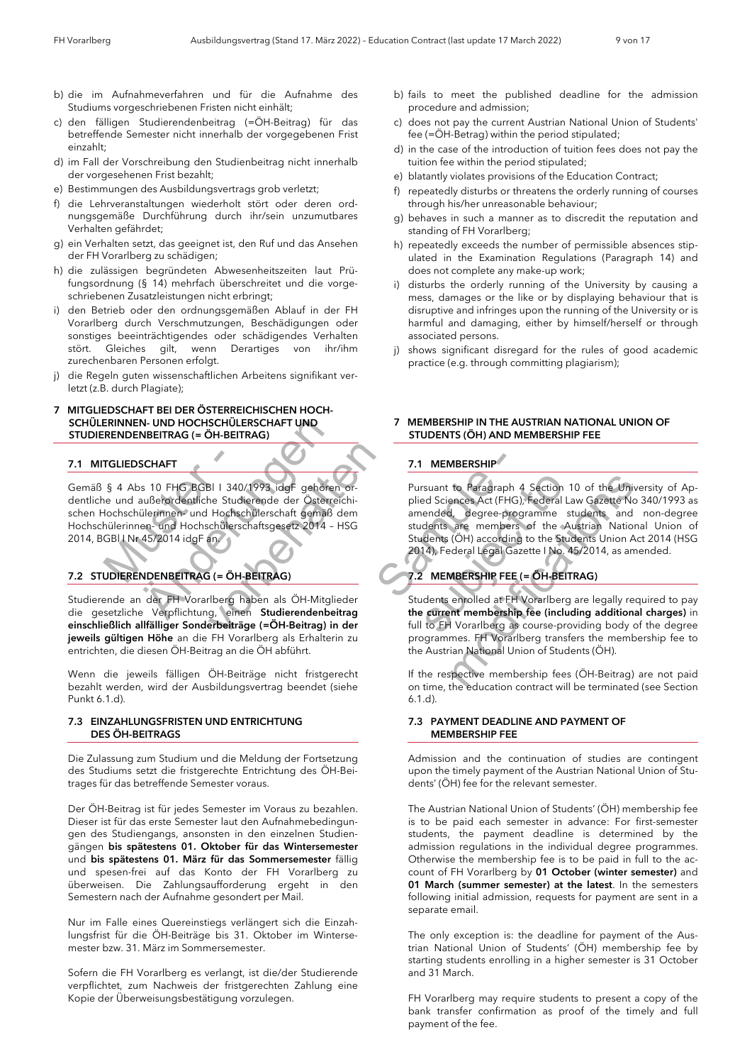- b) die im Aufnahmeverfahren und für die Aufnahme des Studiums vorgeschriebenen Fristen nicht einhält;
- c) den fälligen Studierendenbeitrag (=ÖH-Beitrag) für das betreffende Semester nicht innerhalb der vorgegebenen Frist einzahlt;
- d) im Fall der Vorschreibung den Studienbeitrag nicht innerhalb der vorgesehenen Frist bezahlt;
- e) Bestimmungen des Ausbildungsvertrags grob verletzt;
- f) die Lehrveranstaltungen wiederholt stört oder deren ordnungsgemäße Durchführung durch ihr/sein unzumutbares Verhalten gefährdet;
- g) ein Verhalten setzt, das geeignet ist, den Ruf und das Ansehen der FH Vorarlberg zu schädigen;
- h) die zulässigen begründeten Abwesenheitszeiten laut Prüfungsordnung (§ 14) mehrfach überschreitet und die vorgeschriebenen Zusatzleistungen nicht erbringt;
- i) den Betrieb oder den ordnungsgemäßen Ablauf in der FH Vorarlberg durch Verschmutzungen, Beschädigungen oder sonstiges beeinträchtigendes oder schädigendes Verhalten stört. Gleiches gilt, wenn Derartiges von ihr/ihm zurechenbaren Personen erfolgt.
- j) die Regeln guten wissenschaftlichen Arbeitens signifikant verletzt (z.B. durch Plagiate);

#### *7 MITGLIEDSCHAFT BEI DER ÖSTERREICHISCHEN HOCH- SCHÜLERINNEN- UND HOCHSCHÜLERSCHAFT UND STUDIERENDENBEITRAG (= ÖH-BEITRAG)*

### *7.1 MITGLIEDSCHAFT*

TGLIEDSCHAFT<br>
§ 4 Abs 10 FHG BGBI I 340,<br>
le und außerordentliche Studi<br>
dochschülerinnen- und Hochschülers<br>
GBI I Nr 45/2014 idgF an.<br>
DIERENDENBEITRAG (= ÖH-N-UND HOCHSCHULERSCHAFT UND<br>
NBEITRAG (= ÖH-BEITRAG)<br>
SCHAFT<br>
SS 10 FHG BGBI 1 340/1993 idgF gehören<br>
außerordentliche Studierende der Österre<br>
ülerinnen und Hochschülerschaftsgesetz 2014 - 1<br>
45/2014 idgF an:<br>
NDENBEITRAG Bl | 340/1993 idgF gehören or-<br>
he Studierende der Österreichi-<br>
Hochschülerschaft gemäß dem<br>
chülerschaftsgesetz 2014 - HSG<br>
an<br>
i (= ÖH-BEITRAG)<br>
i (= ÖH-BEITRAG)<br>
g, einen Studierendenbeitrag<br>
grbeiträge (=ÖH-Beitrag) i Gemäß § 4 Abs 10 FHG BGBl I 340/1993 idgF gehören ordentliche und außerordentliche Studierende der Österreichischen Hochschülerinnen- und Hochschülerschaft gemäß dem Hochschülerinnen- und Hochschülerschaftsgesetz 2014 – HSG 2014, BGBl I Nr 45/2014 idgF an.

### *7.2 STUDIERENDENBEITRAG (= ÖH-BEITRAG)*

Studierende an der FH Vorarlberg haben als ÖH-Mitglieder die gesetzliche Verpflichtung, einen *Studierendenbeitrag einschließlich allfälliger Sonderbeiträge (=ÖH-Beitrag) in der jeweils gültigen Höhe* an die FH Vorarlberg als Erhalterin zu entrichten, die diesen ÖH-Beitrag an die ÖH abführt.

Wenn die jeweils fälligen ÖH-Beiträge nicht fristgerecht bezahlt werden, wird der Ausbildungsvertrag beendet (siehe Punkt 6.1.d).

#### *7.3 EINZAHLUNGSFRISTEN UND ENTRICHTUNG DES ÖH-BEITRAGS*

Die Zulassung zum Studium und die Meldung der Fortsetzung des Studiums setzt die fristgerechte Entrichtung des ÖH-Beitrages für das betreffende Semester voraus.

Der ÖH-Beitrag ist für jedes Semester im Voraus zu bezahlen. Dieser ist für das erste Semester laut den Aufnahmebedingungen des Studiengangs, ansonsten in den einzelnen Studiengängen *bis spätestens 01. Oktober für das Wintersemester* und *bis spätestens 01. März für das Sommersemester* fällig und spesen-frei auf das Konto der FH Vorarlberg zu überweisen. Die Zahlungsaufforderung ergeht in den Semestern nach der Aufnahme gesondert per Mail.

Nur im Falle eines Quereinstiegs verlängert sich die Einzahlungsfrist für die ÖH-Beiträge bis 31. Oktober im Wintersemester bzw. 31. März im Sommersemester.

Sofern die FH Vorarlberg es verlangt, ist die/der Studierende verpflichtet, zum Nachweis der fristgerechten Zahlung eine Kopie der Überweisungsbestätigung vorzulegen.

- b) fails to meet the published deadline for the admission procedure and admission;
- c) does not pay the current Austrian National Union of Students' fee (=ÖH-Betrag) within the period stipulated;
- d) in the case of the introduction of tuition fees does not pay the tuition fee within the period stipulated;
- e) blatantly violates provisions of the Education Contract;
- f) repeatedly disturbs or threatens the orderly running of courses through his/her unreasonable behaviour;
- g) behaves in such a manner as to discredit the reputation and standing of FH Vorarlberg;
- h) repeatedly exceeds the number of permissible absences stipulated in the Examination Regulations (Paragraph 14) and does not complete any make-up work;
- i) disturbs the orderly running of the University by causing a mess, damages or the like or by displaying behaviour that is disruptive and infringes upon the running of the University or is harmful and damaging, either by himself/herself or through associated persons.
- j) shows significant disregard for the rules of good academic practice (e.g. through committing plagiarism);

#### *7 MEMBERSHIP IN THE AUSTRIAN NATIONAL UNION OF STUDENTS (ÖH) AND MEMBERSHIP FEE*

### *7.1 MEMBERSHIP*

**7.1 MEMBERSHIP**<br>
Franchischer Pursuant to Paragraph 4<br>
Pursuant to Paragraph 4<br>
plied Sciences Act (FHG),<br>
the principle of Sciences Act (FHG),<br>
amended, degree-progress<br>
students are members<br>
Students (ÖH) according<br>
201 mor-<br>
Pursuant to Paragraph 4 Section 10<br>
piled Sciences Act (FHG), Federal Lav<br>
dem<br>
students are members of the Au<br>
students are members of the Au<br>
students (ÖH) according to the Students<br>
2014), Federal Legal Gazette I Pursuant to Paragraph 4 Section 10 of the Univer<br>plied Sciences Act (FHG), Federal Law Gazette No 34<br>amended, degree-programme students and n<br>students are members of the Austrian National<br>Students (ÖH) according to the Stu Pursuant to Paragraph 4 Section 10 of the University of Applied Sciences Act (FHG), Federal Law Gazette No 340/1993 as amended, degree-programme students and non-degree students are members of the Austrian National Union of Students (ÖH) according to the Students Union Act 2014 (HSG 2014), Federal Legal Gazette I No. 45/2014, as amended.

### *7.2 MEMBERSHIP FEE (= ÖH-BEITRAG)*

Students enrolled at FH Vorarlberg are legally required to pay *the current membership fee (including additional charges)* in full to FH Vorarlberg as course-providing body of the degree programmes. FH Vorarlberg transfers the membership fee to the Austrian National Union of Students (ÖH).

If the respective membership fees (ÖH-Beitrag) are not paid on time, the education contract will be terminated (see Section 6.1.d).

#### *7.3 PAYMENT DEADLINE AND PAYMENT OF MEMBERSHIP FEE*

Admission and the continuation of studies are contingent upon the timely payment of the Austrian National Union of Students' (ÖH) fee for the relevant semester.

The Austrian National Union of Students' (ÖH) membership fee is to be paid each semester in advance: For first-semester students, the payment deadline is determined by the admission regulations in the individual degree programmes. Otherwise the membership fee is to be paid in full to the account of FH Vorarlberg by *01 October (winter semester)* and *01 March (summer semester) at the latest*. In the semesters following initial admission, requests for payment are sent in a separate email.

The only exception is: the deadline for payment of the Austrian National Union of Students' (ÖH) membership fee by starting students enrolling in a higher semester is 31 October and 31 March.

FH Vorarlberg may require students to present a copy of the bank transfer confirmation as proof of the timely and full payment of the fee.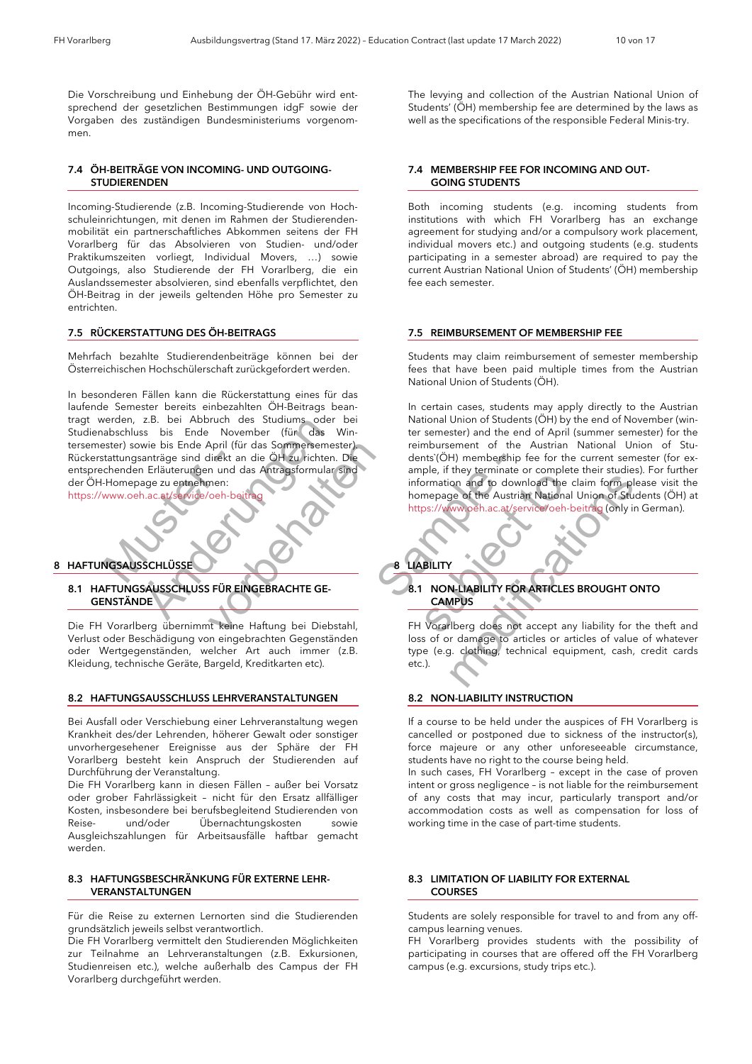Die Vorschreibung und Einhebung der ÖH-Gebühr wird entsprechend der gesetzlichen Bestimmungen idgF sowie der Vorgaben des zuständigen Bundesministeriums vorgenommen.

### *7.4 ÖH-BEITRÄGE VON INCOMING- UND OUTGOING- STUDIERENDEN*

Incoming-Studierende (z.B. Incoming-Studierende von Hochschuleinrichtungen, mit denen im Rahmen der Studierendenmobilität ein partnerschaftliches Abkommen seitens der FH Vorarlberg für das Absolvieren von Studien- und/oder Praktikumszeiten vorliegt, Individual Movers, …) sowie Outgoings, also Studierende der FH Vorarlberg, die ein Auslandssemester absolvieren, sind ebenfalls verpflichtet, den ÖH-Beitrag in der jeweils geltenden Höhe pro Semester zu entrichten.

#### *7.5 RÜCKERSTATTUNG DES ÖH-BEITRAGS*

Mehrfach bezahlte Studierendenbeiträge können bei der Österreichischen Hochschülerschaft zurückgefordert werden.

tattungsanträge sind direkt anderen Erläuterungen und der Amerikanischen Erläuterungen und der Amerikanischen Erläuterungen und der Amerikanischen Schwarzen und der Amerikanische Schwarzen und der Amerikanische Schwarzen u 2.B. bel Abbruch des Studiums oder<br>
ss bis Ende November (für das V<br>
swie bis Ende April (für das Sommersemes<br>
santräge sind direkt an die ÖH zu richten.<br>
In Erläuterungen und das Antragsformular<br>
ange zu entnehmen:<br>
A.ac. April (für das Sommersemester)<br>
direkt an die ÖH zu richten. Die<br>
n und das Antragsformular sind<br>
men:<br>
voeh-beitrag<br>
voeh-beitrag<br>
voeh-beitrag<br>
voeh-beitrag<br>
FÜR EINGEBRACHTE GE-<br>
st keine Haftung bei Diebstahl,<br>
n einge In besonderen Fällen kann die Rückerstattung eines für das laufende Semester bereits einbezahlten ÖH-Beitrags beantragt werden, z.B. bei Abbruch des Studiums oder bei Studienabschluss bis Ende November (für das Wintersemester) sowie bis Ende April (für das Sommersemester). Rückerstattungsanträge sind direkt an die ÖH zu richten. Die entsprechenden Erläuterungen und das Antragsformular sind der ÖH-Homepage zu entnehmen:

https://www.oeh.ac.at/service/oeh-b

### *8 HAFTUNGSAUSSCHLÜSSE*

#### *8.1 HAFTUNGSAUSSCHLUSS FÜR EINGEBRACHTE GE- GENSTÄNDE*

Die FH Vorarlberg übernimmt keine Haftung bei Diebstahl, Verlust oder Beschädigung von eingebrachten Gegenständen oder Wertgegenständen, welcher Art auch immer (z.B. Kleidung, technische Geräte, Bargeld, Kreditkarten etc).

#### *8.2 HAFTUNGSAUSSCHLUSS LEHRVERANSTALTUNGEN*

Bei Ausfall oder Verschiebung einer Lehrveranstaltung wegen Krankheit des/der Lehrenden, höherer Gewalt oder sonstiger unvorhergesehener Ereignisse aus der Sphäre der FH Vorarlberg besteht kein Anspruch der Studierenden auf Durchführung der Veranstaltung.

Die FH Vorarlberg kann in diesen Fällen – außer bei Vorsatz oder grober Fahrlässigkeit – nicht für den Ersatz allfälliger Kosten, insbesondere bei berufsbegleitend Studierenden von Reise- und/oder Übernachtungskosten sowie Ausgleichszahlungen für Arbeitsausfälle haftbar gemacht werden.

#### *8.3 HAFTUNGSBESCHRÄNKUNG FÜR EXTERNE LEHR- VERANSTALTUNGEN*

Für die Reise zu externen Lernorten sind die Studierenden grundsätzlich jeweils selbst verantwortlich.

Die FH Vorarlberg vermittelt den Studierenden Möglichkeiten zur Teilnahme an Lehrveranstaltungen (z.B. Exkursionen, Studienreisen etc.), welche außerhalb des Campus der FH Vorarlberg durchgeführt werden.

The levying and collection of the Austrian National Union of Students' (ÖH) membership fee are determined by the laws as well as the specifications of the responsible Federal Minis-try.

#### *7.4 MEMBERSHIP FEE FOR INCOMING AND OUT- GOING STUDENTS*

Both incoming students (e.g. incoming students from institutions with which FH Vorarlberg has an exchange agreement for studying and/or a compulsory work placement, individual movers etc.) and outgoing students (e.g. students participating in a semester abroad) are required to pay the current Austrian National Union of Students' (ÖH) membership fee each semester.

#### *7.5 REIMBURSEMENT OF MEMBERSHIP FEE*

Students may claim reimbursement of semester membership fees that have been paid multiple times from the Austrian National Union of Students (ÖH).

Formular sind<br>
Sample, if they terminate of information and to down<br>
homepage of the Austrian<br>
https://www.oeh.ac.at/ser<br>
https://www.oeh.ac.at/ser<br>
https://www.oeh.ac.at/ser<br>
MITE GE-<br>
8.1 NON-LIABILITY<br>
EXECUTY<br>
CAMPUS<br> In certain cases, students may apply directly to the Austrian National Union of Students (ÖH) by the end of November (winter semester) and the end of April (summer semester) for the reimbursement of the Austrian National Union of Students`(ÖH) membership fee for the current semester (for example, if they terminate or complete their studies). For further information and to download the claim form please visit the homepage of the Austrian National Union of Students (ÖH) at https://www.oeh.ac.at/service/oeh-beitrag (only in German).

*8 LIABILITY*

### *8.1 NON-LIABILITY FOR ARTICLES BROUGHT ONTO CAMPUS*

Suppose the Australian Complete to the Australian Complete to the Australian Complete to the Australian Complete to the Australian Complete to the CAMPUS<br>
Suppose the Australian Complete to the CAMPUS<br>
Suppose to the Austr minormation and to download the claim form please<br>
information and to download the claim form please<br>
homepage of the Austrian National Union of Stude<br>
https://www.oeh.ac.at/service/oeh-beitrag (only in G<br> **EXECUTE:**<br> **EXE** FH Vorarlberg does not accept any liability for the theft and loss of or damage to articles or articles of value of whatever type (e.g. clothing, technical equipment, cash, credit cards etc.).

### *8.2 NON-LIABILITY INSTRUCTION*

If a course to be held under the auspices of FH Vorarlberg is cancelled or postponed due to sickness of the instructor(s), force majeure or any other unforeseeable circumstance, students have no right to the course being held.

In such cases, FH Vorarlberg – except in the case of proven intent or gross negligence – is not liable for the reimbursement of any costs that may incur, particularly transport and/or accommodation costs as well as compensation for loss of working time in the case of part-time students.

#### *8.3 LIMITATION OF LIABILITY FOR EXTERNAL COURSES*

Students are solely responsible for travel to and from any offcampus learning venues.

FH Vorarlberg provides students with the possibility of participating in courses that are offered off the FH Vorarlberg campus (e.g. excursions, study trips etc.).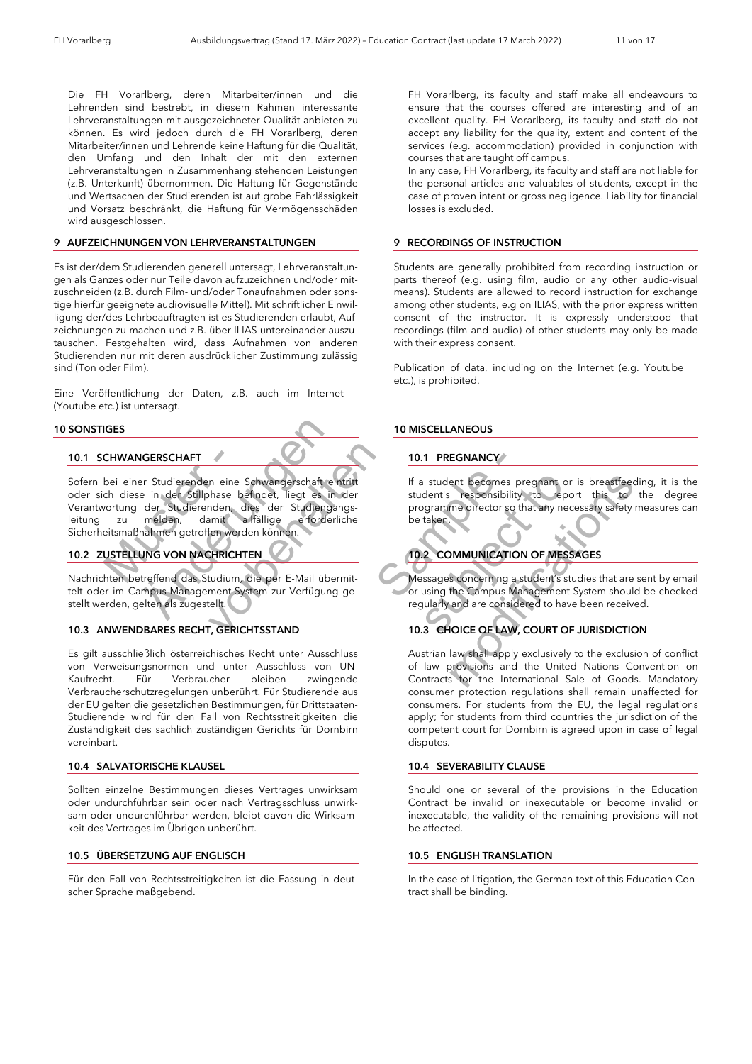Die FH Vorarlberg, deren Mitarbeiter/innen und die Lehrenden sind bestrebt, in diesem Rahmen interessante Lehrveranstaltungen mit ausgezeichneter Qualität anbieten zu können. Es wird jedoch durch die FH Vorarlberg, deren Mitarbeiter/innen und Lehrende keine Haftung für die Qualität, den Umfang und den Inhalt der mit den externen Lehrveranstaltungen in Zusammenhang stehenden Leistungen (z.B. Unterkunft) übernommen. Die Haftung für Gegenstände und Wertsachen der Studierenden ist auf grobe Fahrlässigkeit und Vorsatz beschränkt, die Haftung für Vermögensschäden wird ausgeschlossen.

#### *9 AUFZEICHNUNGEN VON LEHRVERANSTALTUNGEN*

Es ist der/dem Studierenden generell untersagt, Lehrveranstaltungen als Ganzes oder nur Teile davon aufzuzeichnen und/oder mitzuschneiden (z.B. durch Film- und/oder Tonaufnahmen oder sonstige hierfür geeignete audiovisuelle Mittel). Mit schriftlicher Einwilligung der/des Lehrbeauftragten ist es Studierenden erlaubt, Aufzeichnungen zu machen und z.B. über ILIAS untereinander auszutauschen. Festgehalten wird, dass Aufnahmen von anderen Studierenden nur mit deren ausdrücklicher Zustimmung zulässig sind (Ton oder Film).

Eine Veröffentlichung der Daten, z.B. auch im Internet (Youtube etc.) ist untersagt.

#### *10 SONSTIGES*

#### *10.1 SCHWANGERSCHAFT*

**CHWANGERSCHAFT**<br>
bei einer Studierenden eine<br>
ch diese in der Stillphase berortung der Studierenden, au melden, damit<br>
eitsmaßnahmen getroffen werd<br>
USTELLUNG VON NACHRICHT<br>
hten betreffend das Studium, WGERSCHAFT<br>
Er Studierenden eine Schwangerschaft ein der Stillphase befindet, liegt es in der Studierenden, dies der Studiengamelden, damit allfällige erforderlanden<br>
melden, damit allfällige erforderlanden<br>
mahmen getroff m eine Schwangerschaft eintritt<br>
hase befindet, liegt es in der<br>
nden, dies der Studiengangs-<br>
aufällige erforderliche<br>
fen werden können.<br>
SHRICHTEN<br>
tudium, die per E-Mail übermit-<br>
tudium, die per E-Mail übermit-<br>
ment-Sofern bei einer Studierenden eine Schwangerschaft eintritt oder sich diese in der Stillphase befindet, liegt es in der Verantwortung der Studierenden, dies der Studiengangsleitung zu melden, damit allfällige erforderliche Sicherheitsmaßnahmen getroffen werden können.

### *10.2 ZUSTELLUNG VON NACHRICHTEN*

Nachrichten betreffend das Studium, die per E-Mail übermittelt oder im Campus-Management-System zur Verfügung gestellt werden, gelten als zugestellt.

#### *10.3 ANWENDBARES RECHT, GERICHTSSTAND*

Es gilt ausschließlich österreichisches Recht unter Ausschluss von Verweisungsnormen und unter Ausschluss von UN-Kaufrecht. Für Verbraucher bleiben zwingende Verbraucherschutzregelungen unberührt. Für Studierende aus der EU gelten die gesetzlichen Bestimmungen, für Drittstaaten-Studierende wird für den Fall von Rechtsstreitigkeiten die Zuständigkeit des sachlich zuständigen Gerichts für Dornbirn vereinbart.

#### *10.4 SALVATORISCHE KLAUSEL*

Sollten einzelne Bestimmungen dieses Vertrages unwirksam oder undurchführbar sein oder nach Vertragsschluss unwirksam oder undurchführbar werden, bleibt davon die Wirksamkeit des Vertrages im Übrigen unberührt.

#### *10.5 ÜBERSETZUNG AUF ENGLISCH*

Für den Fall von Rechtsstreitigkeiten ist die Fassung in deutscher Sprache maßgebend.

FH Vorarlberg, its faculty and staff make all endeavours to ensure that the courses offered are interesting and of an excellent quality. FH Vorarlberg, its faculty and staff do not accept any liability for the quality, extent and content of the services (e.g. accommodation) provided in conjunction with courses that are taught off campus.

In any case, FH Vorarlberg, its faculty and staff are not liable for the personal articles and valuables of students, except in the case of proven intent or gross negligence. Liability for financial losses is excluded.

### *9 RECORDINGS OF INSTRUCTION*

Students are generally prohibited from recording instruction or parts thereof (e.g. using film, audio or any other audio-visual means). Students are allowed to record instruction for exchange among other students, e.g on ILIAS, with the prior express written consent of the instructor. It is expressly understood that recordings (film and audio) of other students may only be made with their express consent.

Publication of data, including on the Internet (e.g. Youtube etc.), is prohibited.

#### *10 MISCELLANEOUS*

#### *10.1 PREGNANCY*

If a student becomes pregnant or is breastfeeding, it is the student's responsibility to report this to the degree programme director so that any necessary safety measures can be taken.

### *10.2 COMMUNICATION OF MESSAGES*

Messages concerning a student's studies that are sent by email or using the Campus Management System should be checked regularly and are considered to have been received.

#### *10.3 CHOICE OF LAW, COURT OF JURISDICTION*

10.1 PREGNANCY<br>
Schaft eintritt<br>
Studiengangs-<br>
Studiengangs-<br>
erforderliche betaken.<br>
10.2 COMMUNICATION<br>
10.2 COMMUNICATION<br>
10.2 COMMUNICATION<br>
10.2 COMMUNICATION<br>
10.3 CHOICE OF LAW, C<br>
rer Ausschluss<br>
D<br>
10.3 CHOICE O Fractional International Contracts for the discussion of the apply; for student's responsibility to report or student's responsibility to report or student's responsibility to report of the taken.<br>
10.2 COMMUNICATION OF ME If a student's responsibility to report this to the<br>programme director so that any necessary safety me<br>be taken.<br>**10.2 COMMUNICATION OF MESSAGES**<br>Messages concerning a student's studies that are see<br>or using the Campus Man Austrian law shall apply exclusively to the exclusion of conflict of law provisions and the United Nations Convention on Contracts for the International Sale of Goods. Mandatory consumer protection regulations shall remain unaffected for consumers. For students from the EU, the legal regulations apply; for students from third countries the jurisdiction of the competent court for Dornbirn is agreed upon in case of legal disputes.

#### *10.4 SEVERABILITY CLAUSE*

Should one or several of the provisions in the Education Contract be invalid or inexecutable or become invalid or inexecutable, the validity of the remaining provisions will not be affected.

#### *10.5 ENGLISH TRANSLATION*

In the case of litigation, the German text of this Education Contract shall be binding.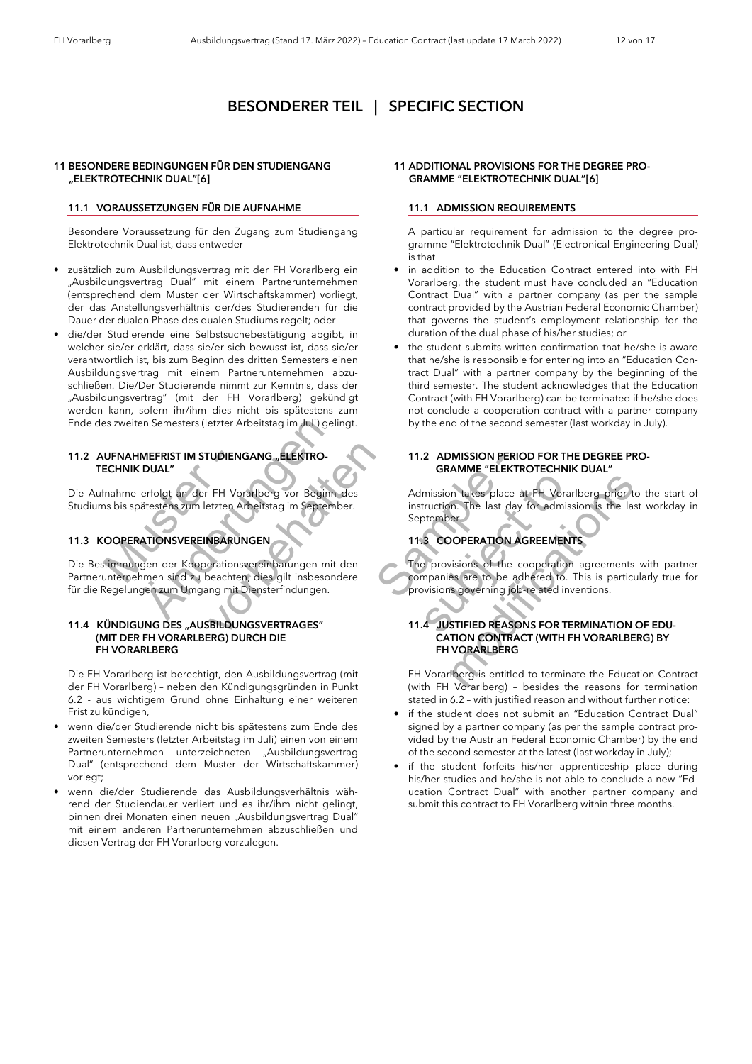### *BESONDERER TEIL | SPECIFIC SECTION*

#### *11 BESONDERE BEDINGUNGEN FÜR DEN STUDIENGANG "ELEKTROTECHNIK DUAL"[6]*

#### *11.1 VORAUSSETZUNGEN FÜR DIE AUFNAHME*

Besondere Voraussetzung für den Zugang zum Studiengang Elektrotechnik Dual ist, dass entweder

- zusätzlich zum Ausbildungsvertrag mit der FH Vorarlberg ein "Ausbildungsvertrag Dual" mit einem Partnerunternehmen (entsprechend dem Muster der Wirtschaftskammer) vorliegt, der das Anstellungsverhältnis der/des Studierenden für die Dauer der dualen Phase des dualen Studiums regelt; oder
- die/der Studierende eine Selbstsuchebestätigung abgibt, in welcher sie/er erklärt, dass sie/er sich bewusst ist, dass sie/er verantwortlich ist, bis zum Beginn des dritten Semesters einen Ausbildungsvertrag mit einem Partnerunternehmen abzuschließen. Die/Der Studierende nimmt zur Kenntnis, dass der "Ausbildungsvertrag" (mit der FH Vorarlberg) gekündigt werden kann, sofern ihr/ihm dies nicht bis spätestens zum Ende des zweiten Semesters (letzter Arbeitstag im Juli) gelingt.

#### *11.2 AUFNAHMEFRIST IM STUDIENGANG "ELEKTRO- TECHNIK DUAL"*

Die Aufnahme erfolgt an der FH Vorarlberg vor Beginn des Studiums bis spätestens zum letzten Arbeitstag im September.

### *11.3 KOOPERATIONSVEREINBARUNGEN*

UFNAHMEFRIST IM STUDIENC<br>
ECHNIK DUAL"<br>
fnahme erfolgt an der FH Vor<br>
ns bis spätestens zum letzten Ar<br>
OOPERATIONSVEREINBARUN<br>
timmungen der Kooperations<br>
unternehmen sind zu beachter en Semesters (letzter Arbeitstag im Juli) geli<br>
IMEFRIST IM STUDIENGANG "ELEKTRO-<br>
CUAL"<br>
erfolgt an der FH Vorarlberg vor Beginn<br>
ätestens zum letzten Arbeitstag im Septem<br>
MATIONSVEREINBARUNGEN<br>
Singen der Kooperationsve VDIENGANG "ELEKTRO-<br>FH Vorarlberg vor Beginn des<br>Etzten Arbeitstag im September.<br>VBARUNGEN<br>erationsvereinbarungen mit den<br>peachten, dies gilt insbesondereng mit Diensterfindungen.<br>BILDUNGSVERTRAGES"<br>ERG) DURCH DIE Die Bestimmungen der Kooperationsvereinbarungen mit den Partnerunternehmen sind zu beachten, dies gilt insbesondere für die Regelungen zum Umgang mit Diensterfindungen.

#### *11.4 KÜNDIGUNG DES "AUSBILDUNGSVERTRAGES" (MIT DER FH VORARLBERG) DURCH DIE FH VORARLBERG*

Die FH Vorarlberg ist berechtigt, den Ausbildungsvertrag (mit der FH Vorarlberg) – neben den Kündigungsgründen in Punkt 6.2 - aus wichtigem Grund ohne Einhaltung einer weiteren Frist zu kündigen,

- wenn die/der Studierende nicht bis spätestens zum Ende des zweiten Semesters (letzter Arbeitstag im Juli) einen von einem Partnerunternehmen unterzeichneten "Ausbildungsvertrag Dual" (entsprechend dem Muster der Wirtschaftskammer) vorlegt;
- wenn die/der Studierende das Ausbildungsverhältnis während der Studiendauer verliert und es ihr/ihm nicht gelingt, binnen drei Monaten einen neuen "Ausbildungsvertrag Dual" mit einem anderen Partnerunternehmen abzuschließen und diesen Vertrag der FH Vorarlberg vorzulegen.

#### *11 ADDITIONAL PROVISIONS FOR THE DEGREE PRO- GRAMME "ELEKTROTECHNIK DUAL"[6]*

### *11.1 ADMISSION REQUIREMENTS*

A particular requirement for admission to the degree programme "Elektrotechnik Dual" (Electronical Engineering Dual) is that

- in addition to the Education Contract entered into with FH Vorarlberg, the student must have concluded an "Education Contract Dual" with a partner company (as per the sample contract provided by the Austrian Federal Economic Chamber) that governs the student's employment relationship for the duration of the dual phase of his/her studies; or
- the student submits written confirmation that he/she is aware that he/she is responsible for entering into an "Education Contract Dual" with a partner company by the beginning of the third semester. The student acknowledges that the Education Contract (with FH Vorarlberg) can be terminated if he/she does not conclude a cooperation contract with a partner company by the end of the second semester (last workday in July).

#### *11.2 ADMISSION PERIOD FOR THE DEGREE PRO- GRAMME "ELEKTROTECHNIK DUAL"*

Admission takes place at FH Vorarlberg prior to the start of instruction. The last day for admission is the last workday in September.

### *11.3 COOPERATION AGREEMENTS*

EKTRO<br>
SRAMME "ELEKTRO"<br>
GRAMME "ELEKTRO"<br>
September.<br>
IT.3 COOPERATION AG<br>
September<br>
IT.3 COOPERATION AG<br>
September<br>
IT.3 COOPERATION AG<br>
September<br>
IT.4 COOPERATION AG<br>
IT.1.4 JUSTIFIED REASON<br>
CATION CONTRAC<br>
FH VORARL The provisions of the cooperation agreements with partner companies are to be adhered to. This is particularly true for provisions governing job-related inventions.

#### *11.4 JUSTIFIED REASONS FOR TERMINATION OF EDU- CATION CONTRACT (WITH FH VORARLBERG) BY FH VORARLBERG*

FH Vorarlberg is entitled to terminate the Education Contract (with FH Vorarlberg) – besides the reasons for termination stated in 6.2 – with justified reason and without further notice:

- Material Contract of the substitution of the scheme of the scheme of the scheme of the scheme of the scheme of the scheme of the scheme of the scheme of the scheme of the scheme of the scheme of the scheme of the scheme of Admission takes place at FH Vorarlberg prior to the instruction. The last day for admission is the last view september.<br>
11.3 COOPERATION AGREEMENTS<br>
11.3 COOPERATION AGREEMENTS<br>
11.3 COOPERATION AGREEMENTS<br>
11.4 JUSTIFIED • if the student does not submit an "Education Contract Dual" signed by a partner company (as per the sample contract provided by the Austrian Federal Economic Chamber) by the end of the second semester at the latest (last workday in July);
	- if the student forfeits his/her apprenticeship place during his/her studies and he/she is not able to conclude a new "Education Contract Dual" with another partner company and submit this contract to FH Vorarlberg within three months.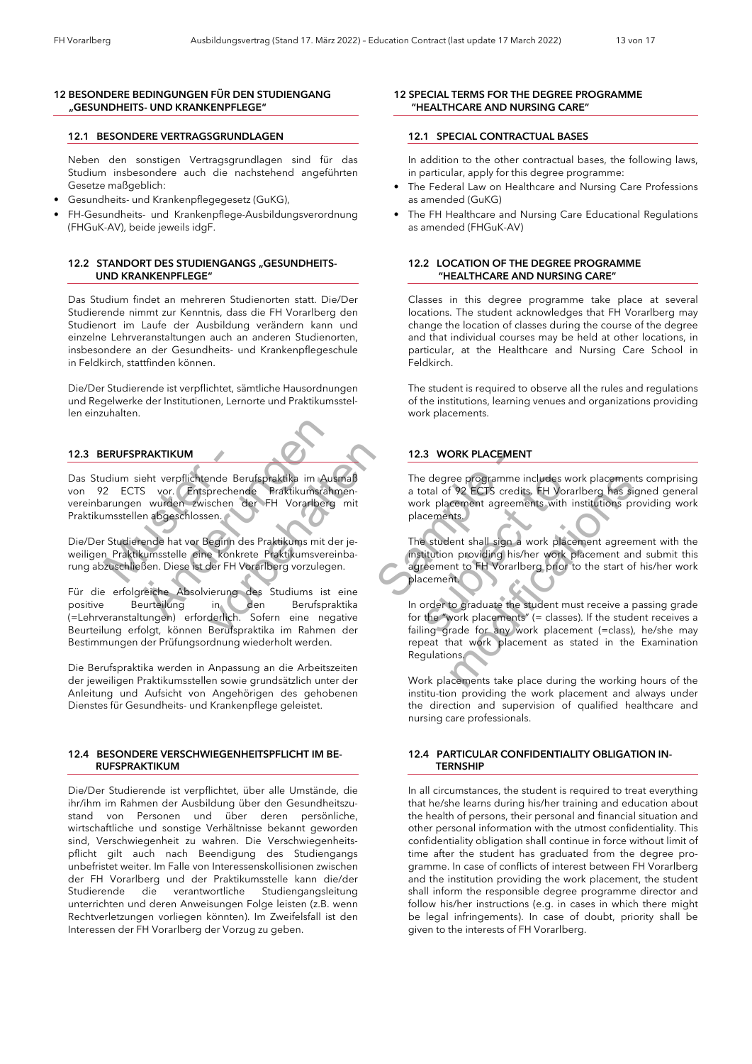#### *12 BESONDERE BEDINGUNGEN FÜR DEN STUDIENGANG "GESUNDHEITS- UND KRANKENPFLEGE"*

#### *12.1 BESONDERE VERTRAGSGRUNDLAGEN*

Neben den sonstigen Vertragsgrundlagen sind für das Studium insbesondere auch die nachstehend angeführten Gesetze maßgeblich:

- Gesundheits- und Krankenpflegegesetz (GuKG),
- FH-Gesundheits- und Krankenpflege-Ausbildungsverordnung (FHGuK-AV), beide jeweils idgF.

#### *12.2 STANDORT DES STUDIENGANGS "GESUNDHEITS- UND KRANKENPFLEGE"*

Das Studium findet an mehreren Studienorten statt. Die/Der Studierende nimmt zur Kenntnis, dass die FH Vorarlberg den Studienort im Laufe der Ausbildung verändern kann und einzelne Lehrveranstaltungen auch an anderen Studienorten, insbesondere an der Gesundheits- und Krankenpflegeschule in Feldkirch, stattfinden können.

Die/Der Studierende ist verpflichtet, sämtliche Hausordnungen und Regelwerke der Institutionen, Lernorte und Praktikumsstellen einzuhalten.

#### *12.3 BERUFSPRAKTIKUM*

**ERUFSPRAKTIKUM**<br>Experiment verpflichtende Be<br>2 ECTS vor. Entsprechen<br>Arungen wurden zwischen dernastellen abgeschlossen.<br>1 Studierende hat vor Beginn der Praktikumsstelle eine konkreistige Kurzuschließen. Diese ist der FH **PRAKTIKUM**<br>
Se vor. Entsprechende Berufspraktika im Aust<br>
Se vor. Entsprechende Praktikumsrahn<br>
n wurden zwischen der FH Vorarlberg<br>
en abgeschlossen.<br>
Fende hat vor Beginn des Praktikums mit de<br>
kumsstelle eine konkrete Das Studium sieht verpflichtende Berufspraktika im Ausmaß von 92 ECTS vor. Entsprechende Praktikumsrahmenvereinbarungen wurden zwischen der FH Vorarlberg mit Praktikumsstellen abgeschlossen.

Die/Der Studierende hat vor Beginn des Praktikums mit der jeweiligen Praktikumsstelle eine konkrete Praktikumsvereinbarung abzuschließen. Diese ist der FH Vorarlberg vorzulegen.

Final Berufspraktika im Ausmaß<br>Sprechende Praktikumsrahmenschen der FH Vorarlberg mit<br>en.<br>Eginn des Praktikums mit der je-<br>konkrete Praktikumsvereinba-<br>der FH Vorarlberg vorzulegen.<br>ierung des Studiums ist eine herufsprakt Für die erfolgreiche Absolvierung des Studiums ist eine positive Beurteilung in den Berufspraktika (=Lehrveranstaltungen) erforderlich. Sofern eine negative Beurteilung erfolgt, können Berufspraktika im Rahmen der Bestimmungen der Prüfungsordnung wiederholt werden.

Die Berufspraktika werden in Anpassung an die Arbeitszeiten der jeweiligen Praktikumsstellen sowie grundsätzlich unter der Anleitung und Aufsicht von Angehörigen des gehobenen Dienstes für Gesundheits- und Krankenpflege geleistet.

#### *12.4 BESONDERE VERSCHWIEGENHEITSPFLICHT IM BE- RUFSPRAKTIKUM*

Die/Der Studierende ist verpflichtet, über alle Umstände, die ihr/ihm im Rahmen der Ausbildung über den Gesundheitszustand von Personen und über deren persönliche, wirtschaftliche und sonstige Verhältnisse bekannt geworden sind, Verschwiegenheit zu wahren. Die Verschwiegenheitspflicht gilt auch nach Beendigung des Studiengangs unbefristet weiter. Im Falle von Interessenskollisionen zwischen der FH Vorarlberg und der Praktikumsstelle kann die/der Studierende die verantwortliche Studiengangsleitung unterrichten und deren Anweisungen Folge leisten (z.B. wenn Rechtverletzungen vorliegen könnten). Im Zweifelsfall ist den Interessen der FH Vorarlberg der Vorzug zu geben.

#### *12 SPECIAL TERMS FOR THE DEGREE PROGRAMME "HEALTHCARE AND NURSING CARE"*

#### *12.1 SPECIAL CONTRACTUAL BASES*

In addition to the other contractual bases, the following laws, in particular, apply for this degree programme:

- The Federal Law on Healthcare and Nursing Care Professions as amended (GuKG)
- The FH Healthcare and Nursing Care Educational Regulations as amended (FHGuK-AV)

#### *12.2 LOCATION OF THE DEGREE PROGRAMME "HEALTHCARE AND NURSING CARE"*

Classes in this degree programme take place at several locations. The student acknowledges that FH Vorarlberg may change the location of classes during the course of the degree and that individual courses may be held at other locations, in particular, at the Healthcare and Nursing Care School in Feldkirch.

The student is required to observe all the rules and regulations of the institutions, learning venues and organizations providing work placements.

#### *12.3 WORK PLACEMENT*

The degree programme includes work placements comprising a total of 92 ECTS credits. FH Vorarlberg has signed general work placement agreements with institutions providing work placements.

The student shall sign a work placement agreement with the institution providing his/her work placement and submit this agreement to FH Vorarlberg prior to the start of his/her work placement.

12.3 WORK PLACEMENT<br>
a im Ausmaß<br>
ikumsrahmen-<br>
a total of 92 ECTS credit<br>
work placements,<br>
ms mit der je-<br>
ms mit der je-<br>
The student sall sign a<br>
vorzulegen.<br>
muss ist eine<br>
Berufspraktika<br>
in order to graduate the s<br> small<br>
The degree programme includes wo<br>
mentally in the degree programme includes work placements with ir<br>
placements.<br>
Fig. 2. The student shall sign a work place<br>
inba-<br>
institution providing his/her work place<br>
mentall The degree programme includes work placements a total of 92 ECTS credits, FH Vorariberg has signa work placements with institutions provides placements.<br>
The student shall sign a work placement agreement and spacements.<br>
T In order to graduate the student must receive a passing grade for the "work placements" (= classes). If the student receives a failing grade for any work placement (=class), he/she may repeat that work placement as stated in the Examination Regulations.

Work placements take place during the working hours of the institu-tion providing the work placement and always under the direction and supervision of qualified healthcare and nursing care professionals.

#### *12.4 PARTICULAR CONFIDENTIALITY OBLIGATION IN- TERNSHIP*

In all circumstances, the student is required to treat everything that he/she learns during his/her training and education about the health of persons, their personal and financial situation and other personal information with the utmost confidentiality. This confidentiality obligation shall continue in force without limit of time after the student has graduated from the degree programme. In case of conflicts of interest between FH Vorarlberg and the institution providing the work placement, the student shall inform the responsible degree programme director and follow his/her instructions (e.g. in cases in which there might be legal infringements). In case of doubt, priority shall be given to the interests of FH Vorarlberg.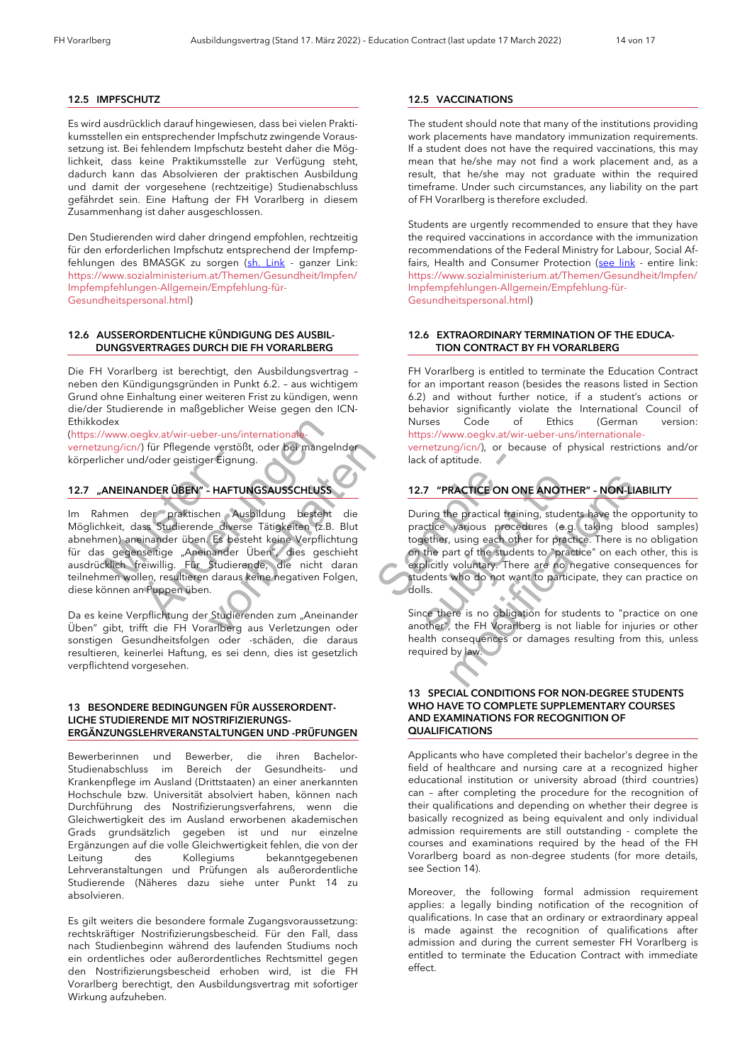#### *12.5 IMPFSCHUTZ*

Es wird ausdrücklich darauf hingewiesen, dass bei vielen Praktikumsstellen ein entsprechender Impfschutz zwingende Voraussetzung ist. Bei fehlendem Impfschutz besteht daher die Möglichkeit, dass keine Praktikumsstelle zur Verfügung steht, dadurch kann das Absolvieren der praktischen Ausbildung und damit der vorgesehene (rechtzeitige) Studienabschluss gefährdet sein. Eine Haftung der FH Vorarlberg in diesem Zusammenhang ist daher ausgeschlossen.

Den Studierenden wird daher dringend empfohlen, rechtzeitig für den erforderlichen Impfschutz entsprechend der Impfemp-fehlungen des BMASGK zu sorgen [\(sh. Link](https://www.sozialministerium.at/Themen/Gesundheit/Impfen/Impfempfehlungen-Allgemein/Empfehlung-für-Gesundheitspersonal.html) - ganzer Link: https://www.sozialministerium.at/Themen/Gesundheit/Impfen/ Impfempfehlungen-Allgemein/Empfehlung-für-Gesundheitspersonal.html)

#### *12.6 AUSSERORDENTLICHE KÜNDIGUNG DES AUSBIL- DUNGSVERTRAGES DURCH DIE FH VORARLBERG*

Die FH Vorarlberg ist berechtigt, den Ausbildungsvertrag – neben den Kündigungsgründen in Punkt 6.2. – aus wichtigem Grund ohne Einhaltung einer weiteren Frist zu kündigen, wenn die/der Studierende in maßgeblicher Weise gegen den ICN-Ethikkodex

(https://www.oegkv.at/wir-ueber-uns/internationalevernetzung/icn/) für Pflegende verstößt, oder bei mangelnder körperlicher und/oder geistiger Eignung.

### *12.7 "ANEINANDER ÜBEN" – HAFTUNGSAUSSCHLUSS*

Mustament The Theorem Constitution<br>
ANEINANDER ÜBEN" - HAFTU<br>
ANEINANDER ÜBEN" - HAFTU<br>
Anteit, dass Studierende divers<br>
segenseitige "Aneinander<br>
Klich Treiwillig. Für Studieren<br>
men wollen, resultieren daraus egkv.at/wir-ueber-uns/internationale-<br>
() für Pflegende verstößt, oder bei mangelr<br>
d/oder geistiger Eignung.<br> **MDER ÜBEN" - HAFTUNGSAUSSCHLUSS**<br>
der praktischen Ausbildung besteht<br>
ass Studierende diverse Tätigkeiten (z.B e verstößt, oder bei mangelnder<br>
Freignung.<br>
FRETUNGSAUSSCHLUSS<br>
En Ausbildung besteht die<br>
En Ausbildung besteht die<br>
Es besteht keine Verpflichtung<br>
nander Üben", dies geschieht<br>
Studierende, die nicht daran<br>
daraus kein Im Rahmen der praktischen Ausbildung besteht die Möglichkeit, dass Studierende diverse Tätigkeiten (z.B. Blut abnehmen) aneinander üben. Es besteht keine Verpflichtung für das gegenseitige "Aneinander Üben", dies geschieht ausdrücklich freiwillig. Für Studierende, die nicht daran teilnehmen wollen, resultieren daraus keine negativen Folgen, diese können an Puppen üben.

Da es keine Verpflichtung der Studierenden zum "Aneinander Üben" gibt, trifft die FH Vorarlberg aus Verletzungen oder sonstigen Gesundheitsfolgen oder -schäden, die daraus resultieren, keinerlei Haftung, es sei denn, dies ist gesetzlich verpflichtend vorgesehen.

#### *13 BESONDERE BEDINGUNGEN FÜR AUSSERORDENT-LICHE STUDIERENDE MIT NOSTRIFIZIERUNGS-ERGÄNZUNGSLEHRVERANSTALTUNGEN UND -PRÜFUNGEN*

Bewerberinnen und Bewerber, die ihren Bachelor-Studienabschluss im Bereich der Gesundheits- und Krankenpflege im Ausland (Drittstaaten) an einer anerkannten Hochschule bzw. Universität absolviert haben, können nach Durchführung des Nostrifizierungsverfahrens, wenn die Gleichwertigkeit des im Ausland erworbenen akademischen Grads grundsätzlich gegeben ist und nur einzelne Ergänzungen auf die volle Gleichwertigkeit fehlen, die von der Leitung des Kollegiums bekanntgegebenen Lehrveranstaltungen und Prüfungen als außerordentliche Studierende (Näheres dazu siehe unter Punkt 14 zu absolvieren.

Es gilt weiters die besondere formale Zugangsvoraussetzung: rechtskräftiger Nostrifizierungsbescheid. Für den Fall, dass nach Studienbeginn während des laufenden Studiums noch ein ordentliches oder außerordentliches Rechtsmittel gegen den Nostrifizierungsbescheid erhoben wird, ist die FH Vorarlberg berechtigt, den Ausbildungsvertrag mit sofortiger Wirkung aufzuheben.

### *12.5 VACCINATIONS*

The student should note that many of the institutions providing work placements have mandatory immunization requirements. If a student does not have the required vaccinations, this may mean that he/she may not find a work placement and, as a result, that he/she may not graduate within the required timeframe. Under such circumstances, any liability on the part of FH Vorarlberg is therefore excluded.

Students are urgently recommended to ensure that they have the required vaccinations in accordance with the immunization recommendations of the Federal Ministry for Labour, Social Af-fairs, Health and Consumer Protection [\(see link](https://www.sozialministerium.at/Themen/Gesundheit/Impfen/Impfempfehlungen-Allgemein/Empfehlung-für-Gesundheitspersonal.html) - entire link: https://www.sozialministerium.at/Themen/Gesundheit/Impfen/ Impfempfehlungen-Allgemein/Empfehlung-für-Gesundheitspersonal.html)

#### *12.6 EXTRAORDINARY TERMINATION OF THE EDUCA- TION CONTRACT BY FH VORARLBERG*

FH Vorarlberg is entitled to terminate the Education Contract for an important reason (besides the reasons listed in Section 6.2) and without further notice, if a student's actions or behavior significantly violate the International Council of<br>Nurses Code of Ethics (German version: Nurses Code of Ethics (German version: https://www.oegkv.at/wir-ueber-uns/internationale-

vernetzung/icn/), or because of physical restrictions and/or lack of aptitude.

## *12.7 "PRACTICE ON ONE ANOTHER" – NON-LIABILITY*

ENALUSS<br>
CHLUSS<br>
CHLUSS<br>
SAMPLE - THE CHLUSS<br>
SAMPLE - THE CALL ON ON<br>
During the practical training<br>
together, using each other<br>
on the part of the student<br>
on the part of the student<br>
on the part of the student<br>
on the p 12.7 "PRACTICE ON ONE ANOTHE<br>
Use Uning the practical training, studen<br>
Blut<br>
Blut<br>
practice various procedures (e.g.<br>
together, using each other for practi<br>
and the part of the students to "practical<br>
learn<br>
lgen,<br>
studen 12.7 "PRACTICE ON ONE ANOTHER" - NON-LIAB<br>
During the practical training, students have the opp<br>
practice various procedures (e.g. taking blood<br>
together, using each other for practice. There is no<br>
on the part of the stud During the practical training, students have the opportunity to practice various procedures (e.g. taking blood samples) together, using each other for practice. There is no obligation on the part of the students to "practice" on each other, this is explicitly voluntary. There are no negative consequences for students who do not want to participate, they can practice on dolls.

Since there is no obligation for students to "practice on one another", the FH Vorarlberg is not liable for injuries or other health consequences or damages resulting from this, unless required by law.

#### *13 SPECIAL CONDITIONS FOR NON-DEGREE STUDENTS WHO HAVE TO COMPLETE SUPPLEMENTARY COURSES AND EXAMINATIONS FOR RECOGNITION OF QUALIFICATIONS*

Applicants who have completed their bachelor's degree in the field of healthcare and nursing care at a recognized higher educational institution or university abroad (third countries) can – after completing the procedure for the recognition of their qualifications and depending on whether their degree is basically recognized as being equivalent and only individual admission requirements are still outstanding - complete the courses and examinations required by the head of the FH Vorarlberg board as non-degree students (for more details, see Section 14).

Moreover, the following formal admission requirement applies: a legally binding notification of the recognition of qualifications. In case that an ordinary or extraordinary appeal is made against the recognition of qualifications after admission and during the current semester FH Vorarlberg is entitled to terminate the Education Contract with immediate effect.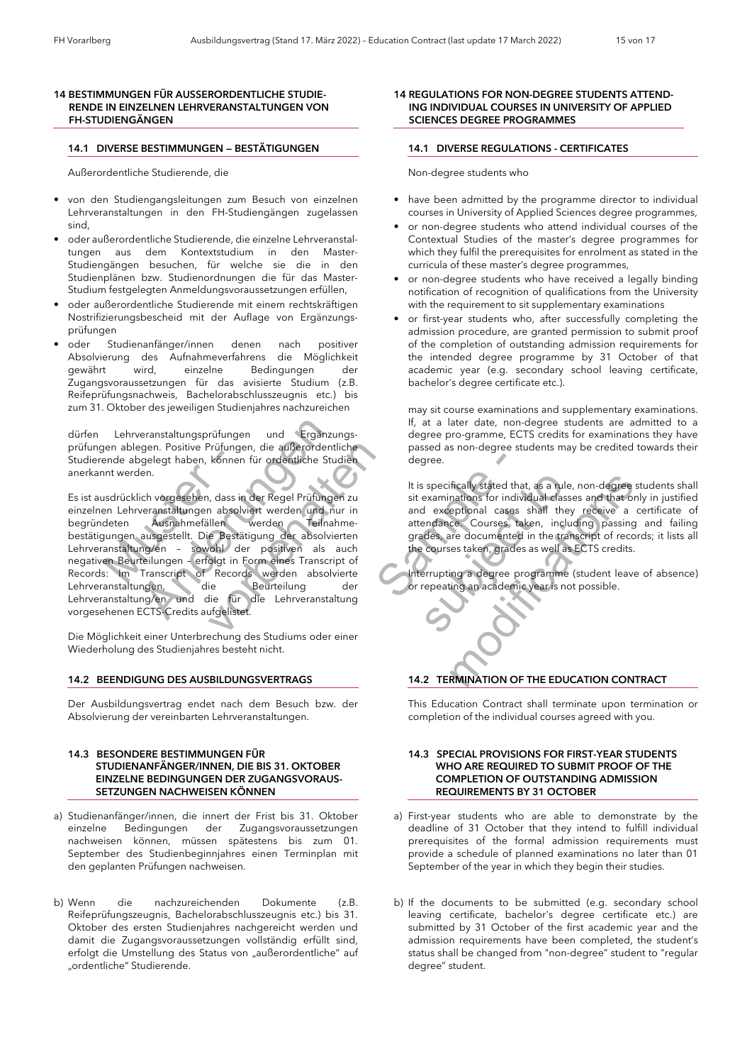#### *14 BESTIMMUNGEN FÜR AUSSERORDENTLICHE STUDIE- RENDE IN EINZELNEN LEHRVERANSTALTUNGEN VON FH-STUDIENGÄNGEN*

#### *14.1 DIVERSE BESTIMMUNGEN — BESTÄTIGUNGEN*

Außerordentliche Studierende, die

- von den Studiengangsleitungen zum Besuch von einzelnen Lehrveranstaltungen in den FH-Studiengängen zugelassen sind,
- oder außerordentliche Studierende, die einzelne Lehrveranstaltungen aus dem Kontextstudium in den Master-Studiengängen besuchen, für welche sie die in den Studienplänen bzw. Studienordnungen die für das Master-Studium festgelegten Anmeldungsvoraussetzungen erfüllen,
- oder außerordentliche Studierende mit einem rechtskräftigen Nostrifizierungsbescheid mit der Auflage von Ergänzungsprüfungen
- oder Studienanfänger/innen denen nach positiver Absolvierung des Aufnahmeverfahrens die Möglichkeit wird, einzelne Bedingungen der Zugangsvoraussetzungen für das avisierte Studium (z.B. Reifeprüfungsnachweis, Bachelorabschlusszeugnis etc.) bis zum 31. Oktober des jeweiligen Studienjahres nachzureichen

dürfen Lehrveranstaltungsprüfungen und Ergänzungsprüfungen ablegen. Positive Prüfungen, die außerordentliche Studierende abgelegt haben, können für ordentliche Studien anerkannt werden.

Financije<br>
En abegelegt haben, können<br>
Int werden.<br>
Insdrücklich vorgesehen, dass in<br>
Instruction absolved<br>
Ausnahmefällen<br>
Mungen ausgestellt. Die Bestät<br>
Ausnahmefällen<br>
Sowohl/den<br>
Beurteilungen - erfolgt in F<br>
Si: Im T eranstaltungsprüfungen und Ergänzungen Bositive Prüfungen, die außerordentliche Studen.<br>
Siehen, können für ordentliche Studen.<br>
Ausnahmefällen werden Teilnah ausgestellt. Die Bestätigung der absolvier med nud nud ausgeste Prüfungen, die außerordentliche<br>
können für ordentliche Studien<br>
können für ordentliche Studien<br>
1. dass in der Regel Prüfungen zu<br>
1. absolviert werden Teilnahme-<br>
e Bestätigung der absolvierten<br>
ohl der positiven als auc Es ist ausdrücklich vorgesehen, dass in der Regel Prüfungen zu einzelnen Lehrveranstaltungen absolviert werden und nur in begründeten Ausnahmefällen werden Teilnahmebestätigungen ausgestellt. Die Bestätigung der absolvierten Lehrveranstaltung/en – sowohl der positiven als auch negativen Beurteilungen – erfolgt in Form eines Transcript of Records: Im Transcript of Records werden absolvierte Lehrveranstaltungen, die Beurteilung der Lehrveranstaltung/en und die für die Lehrveranstaltung vorgesehenen ECTS-Credits aufgelistet.

Die Möglichkeit einer Unterbrechung des Studiums oder einer Wiederholung des Studienjahres besteht nicht.

#### *14.2 BEENDIGUNG DES AUSBILDUNGSVERTRAGS*

Der Ausbildungsvertrag endet nach dem Besuch bzw. der Absolvierung der vereinbarten Lehrveranstaltungen.

#### *14.3 BESONDERE BESTIMMUNGEN FÜR STUDIENANFÄNGER/INNEN, DIE BIS 31. OKTOBER EINZELNE BEDINGUNGEN DER ZUGANGSVORAUS- SETZUNGEN NACHWEISEN KÖNNEN*

- a) Studienanfänger/innen, die innert der Frist bis 31. Oktober einzelne Bedingungen der Zugangsvoraussetzungen nachweisen können, müssen spätestens bis zum 01. September des Studienbeginnjahres einen Terminplan mit den geplanten Prüfungen nachweisen.
- b) Wenn die nachzureichenden Dokumente (z.B. Reifeprüfungszeugnis, Bachelorabschlusszeugnis etc.) bis 31. Oktober des ersten Studienjahres nachgereicht werden und damit die Zugangsvoraussetzungen vollständig erfüllt sind, erfolgt die Umstellung des Status von "außerordentliche" auf "ordentliche" Studierende.

#### *14 REGULATIONS FOR NON-DEGREE STUDENTS ATTEND- ING INDIVIDUAL COURSES IN UNIVERSITY OF APPLIED SCIENCES DEGREE PROGRAMMES*

#### *14.1 DIVERSE REGULATIONS - CERTIFICATES*

Non-degree students who

- have been admitted by the programme director to individual courses in University of Applied Sciences degree programmes,
- or non-degree students who attend individual courses of the Contextual Studies of the master's degree programmes for which they fulfil the prerequisites for enrolment as stated in the curricula of these master's degree programmes,
- or non-degree students who have received a legally binding notification of recognition of qualifications from the University with the requirement to sit supplementary examinations
- or first-year students who, after successfully completing the admission procedure, are granted permission to submit proof of the completion of outstanding admission requirements for the intended degree programme by 31 October of that academic year (e.g. secondary school leaving certificate, bachelor's degree certificate etc.).

may sit course examinations and supplementary examinations. If, at a later date, non-degree students are admitted to a degree pro-gramme, ECTS credits for examinations they have passed as non-degree students may be credited towards their degree.

Frühen degree.<br>
It is specifically stated that<br>
It is specifically stated that<br>
sit examinations for indivi<br>
and and exceptional cases<br>
Teilnahme-<br>
Teilnahme-<br>
Teilnahme-<br>
Teilnahme-<br>
Sample degree courses taken, grades<br>
T It is specifically stated that, as a rule,<br>
sit examinations for individual classe<br>
ur in<br>
and exceptional cases shall they<br>
attendance. Courses taken, include<br>
erten<br>
grades, are documented in the trans<br>
the courses taken It is specifically stated that, as a rule, non-degree stuarities in the standard state of individual classes and that only and exceptional cases shall they receive a certained in the transcript of records that and grades, It is specifically stated that, as a rule, non-degree students shall sit examinations for individual classes and that only in justified and exceptional cases shall they receive a certificate of attendance. Courses taken, including passing and failing grades, are documented in the transcript of records; it lists all the courses taken, grades as well as ECTS credits.

Interrupting a degree programme (student leave of absence) or repeating an academic year is not possible.

### *14.2 TERMINATION OF THE EDUCATION CONTRACT*

This Education Contract shall terminate upon termination or completion of the individual courses agreed with you.

#### *14.3 SPECIAL PROVISIONS FOR FIRST-YEAR STUDENTS WHO ARE REQUIRED TO SUBMIT PROOF OF THE COMPLETION OF OUTSTANDING ADMISSION REQUIREMENTS BY 31 OCTOBER*

- a) First-year students who are able to demonstrate by the deadline of 31 October that they intend to fulfill individual prerequisites of the formal admission requirements must provide a schedule of planned examinations no later than 01 September of the year in which they begin their studies.
- b) If the documents to be submitted (e.g. secondary school leaving certificate, bachelor's degree certificate etc.) are submitted by 31 October of the first academic year and the admission requirements have been completed, the student's status shall be changed from "non-degree" student to "regular degree" student.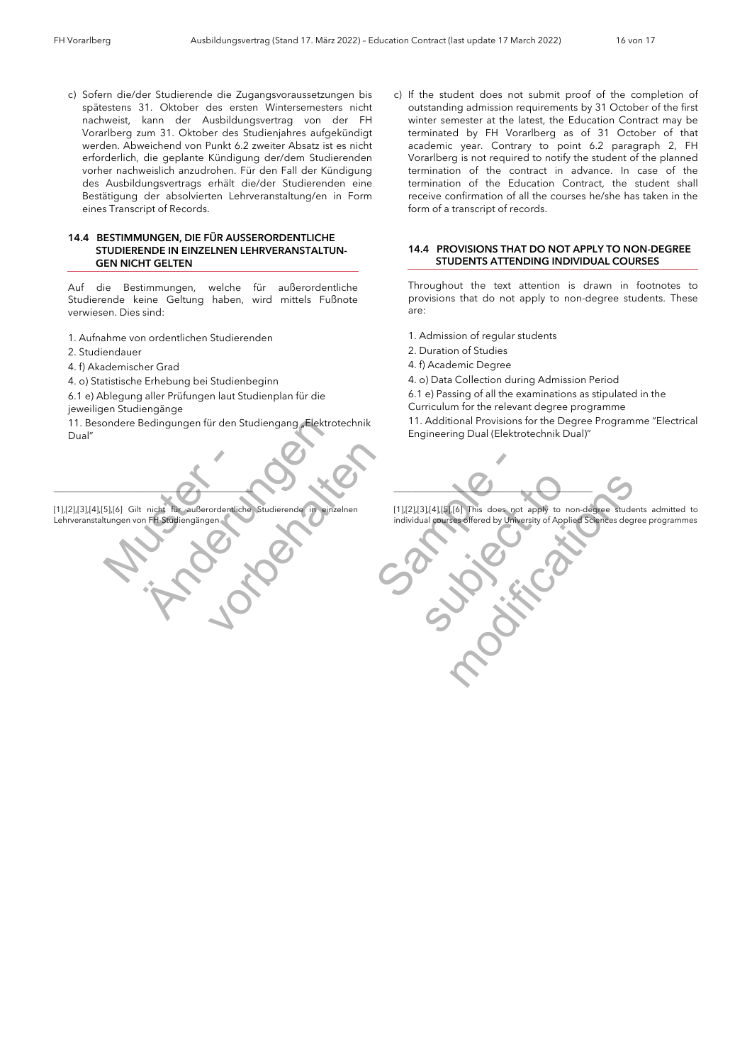c) Sofern die/der Studierende die Zugangsvoraussetzungen bis spätestens 31. Oktober des ersten Wintersemesters nicht nachweist, kann der Ausbildungsvertrag von der FH Vorarlberg zum 31. Oktober des Studienjahres aufgekündigt werden. Abweichend von Punkt 6.2 zweiter Absatz ist es nicht erforderlich, die geplante Kündigung der/dem Studierenden vorher nachweislich anzudrohen. Für den Fall der Kündigung des Ausbildungsvertrags erhält die/der Studierenden eine Bestätigung der absolvierten Lehrveranstaltung/en in Form eines Transcript of Records.

#### *14.4 BESTIMMUNGEN, DIE FÜR AUSSERORDENTLICHE STUDIERENDE IN EINZELNEN LEHRVERANSTALTUN- GEN NICHT GELTEN*

Auf die Bestimmungen, welche für außerordentliche Studierende keine Geltung haben, wird mittels Fußnote verwiesen. Dies sind:

- 1. Aufnahme von ordentlichen Studierenden
- 2. Studiendauer
- 4. f) Akademischer Grad
- 4. o) Statistische Erhebung bei Studienbeginn
- 6.1 e) Ablegung aller Prüfungen laut Studienplan für die
- jeweiligen Studiengänge 11. Besondere Bedingungen für den Studiengang "Elektrotechnik

Dual"

5],[6] Gilt nicht für außerordentlich<br>tungen von FH-Studiengängen Bedingungen für den Studiengang "Elektrot Studierende in einzelnen  $\overline{\phantom{a}}$ [1],[2],[3],[4],[5],[6] Gilt nicht für außerordentliche Studierende in einzelnen Lehrveranstaltungen von FH-Studiengängen

c) If the student does not submit proof of the completion of outstanding admission requirements by 31 October of the first winter semester at the latest, the Education Contract may be terminated by FH Vorarlberg as of 31 October of that academic year. Contrary to point 6.2 paragraph 2, FH Vorarlberg is not required to notify the student of the planned termination of the contract in advance. In case of the termination of the Education Contract, the student shall receive confirmation of all the courses he/she has taken in the form of a transcript of records.

#### *14.4 PROVISIONS THAT DO NOT APPLY TO NON-DEGREE STUDENTS ATTENDING INDIVIDUAL COURSES*

Throughout the text attention is drawn in footnotes to provisions that do not apply to non-degree students. These are:

- 1. Admission of regular students
- 2. Duration of Studies
- 4. f) Academic Degree
- 4. o) Data Collection during Admission Period

 6.1 e) Passing of all the examinations as stipulated in the Curriculum for the relevant degree programme

 11. Additional Provisions for the Degree Programme "Electrical Engineering Dual (Elektrotechnik Dual)"

de in directioner<br>
IT.121.131.141.151.61 This does not<br>
individual courses offered by Universe<br>
Contract of the Universe<br>
Contract of the Universe of the Universe of the Universe of the Universe of the Universe of the Univ FREE CONTROL THIS does not apply to non-degree students<br>individual courses offered by University of Applied Sciences degree  $\blacksquare$ 

[1],[2],[3],[4],[5],[6] This does not apply to non-degree students admitted to individual courses offered by University of Applied Sciences degree programmes